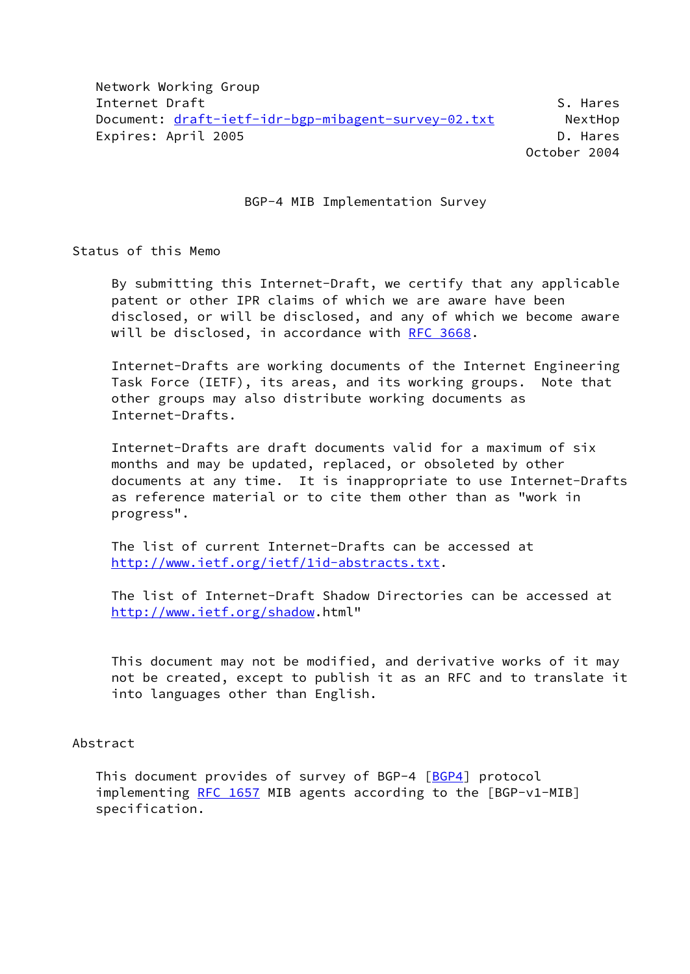Network Working Group Internet Draft S. Hares S. Hares S. Hares S. Hares S. Hares S. Hares S. Hares Document: [draft-ietf-idr-bgp-mibagent-survey-02.txt](https://datatracker.ietf.org/doc/pdf/draft-ietf-idr-bgp-mibagent-survey-02.txt) NextHop Expires: April 2005 **D. Hares** October 2004

BGP-4 MIB Implementation Survey

Status of this Memo

 By submitting this Internet-Draft, we certify that any applicable patent or other IPR claims of which we are aware have been disclosed, or will be disclosed, and any of which we become aware will be disclosed, in accordance with [RFC 3668](https://datatracker.ietf.org/doc/pdf/rfc3668).

 Internet-Drafts are working documents of the Internet Engineering Task Force (IETF), its areas, and its working groups. Note that other groups may also distribute working documents as Internet-Drafts.

 Internet-Drafts are draft documents valid for a maximum of six months and may be updated, replaced, or obsoleted by other documents at any time. It is inappropriate to use Internet-Drafts as reference material or to cite them other than as "work in progress".

 The list of current Internet-Drafts can be accessed at [http://www.ietf.org/ietf/1id-abstracts.txt.](http://www.ietf.org/ietf/1id-abstracts.txt)

 The list of Internet-Draft Shadow Directories can be accessed at [http://www.ietf.org/shadow.](http://www.ietf.org/shadow)html"

 This document may not be modified, and derivative works of it may not be created, except to publish it as an RFC and to translate it into languages other than English.

## Abstract

This document provides of survey of BGP-4 [[BGP4\]](#page-39-0) protocol implementing [RFC 1657](https://datatracker.ietf.org/doc/pdf/rfc1657) MIB agents according to the [BGP-v1-MIB] specification.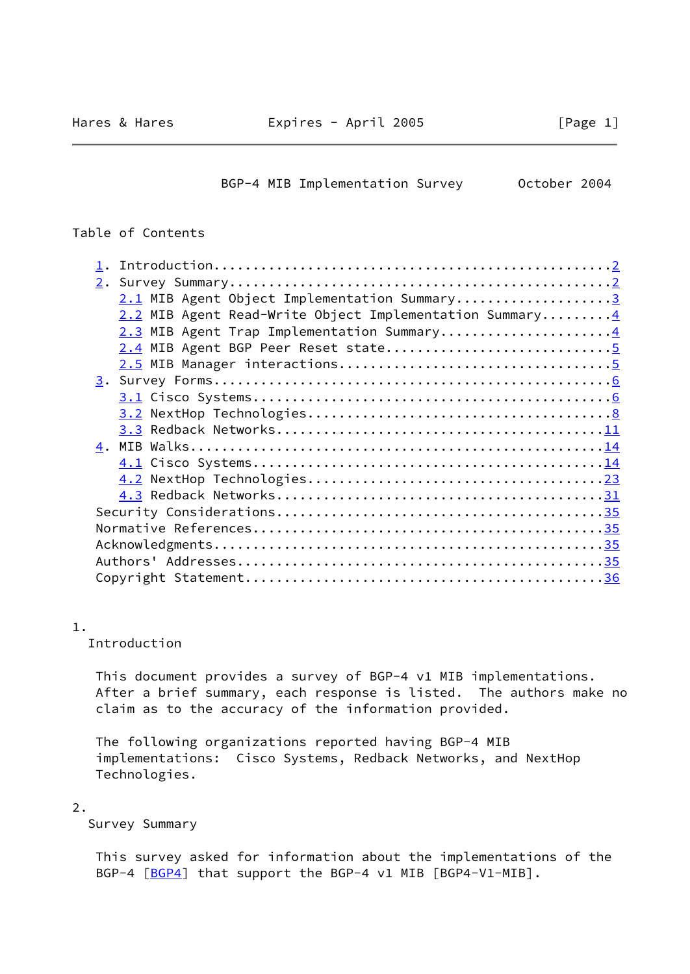BGP-4 MIB Implementation Survey 0ctober 2004

### <span id="page-1-0"></span>Table of Contents

| 2.1 MIB Agent Object Implementation Summary3                         |
|----------------------------------------------------------------------|
| 2.2 MIB Agent Read-Write Object Implementation Summary $\frac{4}{3}$ |
| 2.3 MIB Agent Trap Implementation Summary4                           |
| 2.4 MIB Agent BGP Peer Reset state5                                  |
|                                                                      |
|                                                                      |
|                                                                      |
|                                                                      |
|                                                                      |
|                                                                      |
|                                                                      |
|                                                                      |
|                                                                      |
|                                                                      |
|                                                                      |
|                                                                      |
|                                                                      |
|                                                                      |
|                                                                      |

1.

Introduction

 This document provides a survey of BGP-4 v1 MIB implementations. After a brief summary, each response is listed. The authors make no claim as to the accuracy of the information provided.

 The following organizations reported having BGP-4 MIB implementations: Cisco Systems, Redback Networks, and NextHop Technologies.

#### 2.

Survey Summary

 This survey asked for information about the implementations of the BGP-4 [[BGP4\]](#page-39-0) that support the BGP-4 v1 MIB [BGP4-V1-MIB].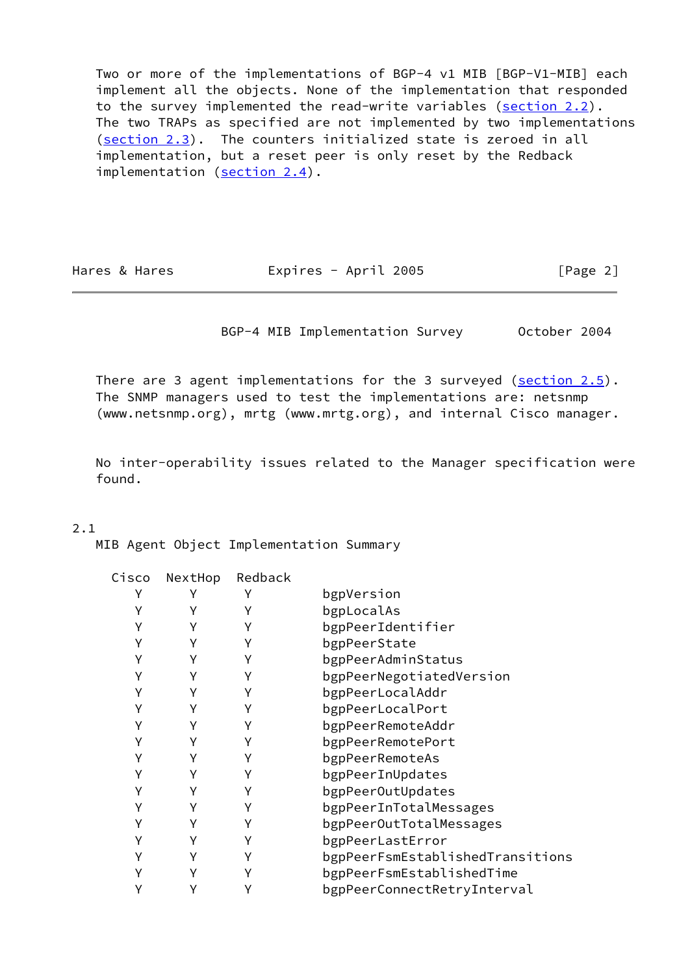Two or more of the implementations of BGP-4 v1 MIB [BGP-V1-MIB] each implement all the objects. None of the implementation that responded to the survey implemented the read-write variables (section 2.2). The two TRAPs as specified are not implemented by two implementations (section 2.3). The counters initialized state is zeroed in all implementation, but a reset peer is only reset by the Redback implementation (section 2.4).

<span id="page-2-0"></span>

Hares & Hares **Expires - April 2005** [Page 2]

BGP-4 MIB Implementation Survey October 2004

There are 3 agent implementations for the 3 surveyed ( $section 2.5$ ). The SNMP managers used to test the implementations are: netsnmp (www.netsnmp.org), mrtg (www.mrtg.org), and internal Cisco manager.

 No inter-operability issues related to the Manager specification were found.

### 2.1

MIB Agent Object Implementation Summary

| Cisco | NextHop | Redback |                                  |
|-------|---------|---------|----------------------------------|
|       |         |         | bgpVersion                       |
|       | Υ       |         | bgpLocalAs                       |
|       | Υ       | Υ       | bgpPeerIdentifier                |
|       | Υ       | Υ       | bgpPeerState                     |
|       | Υ       | γ       | bgpPeerAdminStatus               |
|       | Υ       | γ       | bgpPeerNegotiatedVersion         |
|       |         |         | bgpPeerLocalAddr                 |
|       | Υ       |         | bgpPeerLocalPort                 |
|       | Υ       |         | bgpPeerRemoteAddr                |
|       | Υ       | Υ       | bgpPeerRemotePort                |
|       | Υ       | Υ       | bgpPeerRemoteAs                  |
|       | Υ       | Υ       | bgpPeerInUpdates                 |
|       | Υ       |         | bgpPeerOutUpdates                |
|       | Υ       | γ       | bgpPeerInTotalMessages           |
|       | Υ       |         | bgpPeerOutTotalMessages          |
|       |         |         | bgpPeerLastError                 |
|       | Υ       | γ       | bgpPeerFsmEstablishedTransitions |
|       | Υ       | Υ       | bgpPeerFsmEstablishedTime        |
|       | Υ       |         | bgpPeerConnectRetryInterval      |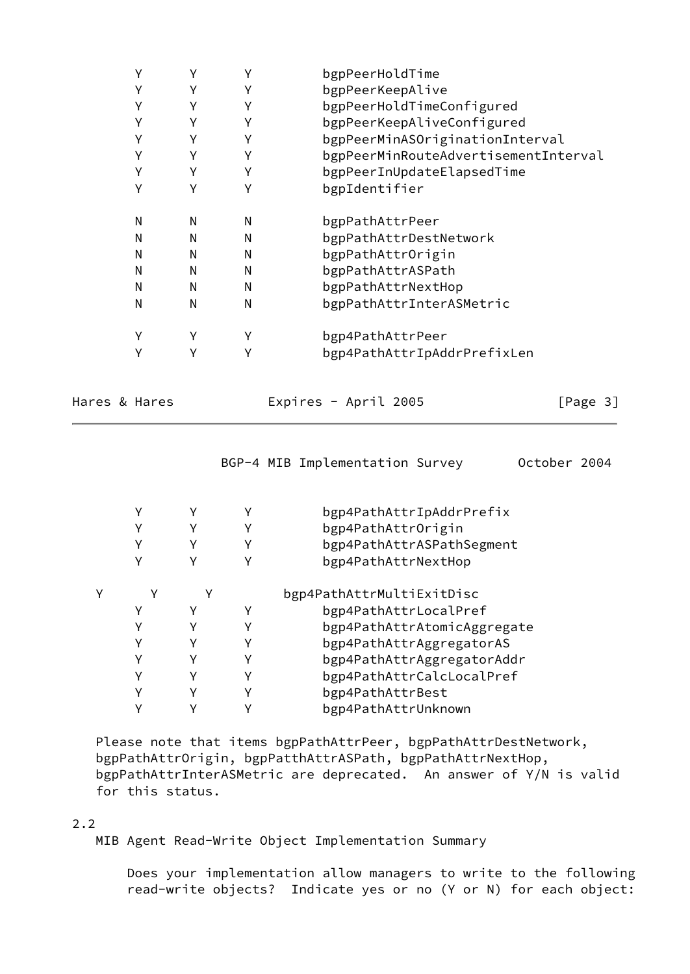| Υ |   | Υ | bgpPeerHoldTime                      |
|---|---|---|--------------------------------------|
| Υ | Υ | Υ | bgpPeerKeepAlive                     |
| Υ | Υ | Υ | bgpPeerHoldTimeConfigured            |
| Υ | Υ | Υ | bgpPeerKeepAliveConfigured           |
| Y | Υ | Υ | bgpPeerMinASOriginationInterval      |
| Υ | Υ | Υ | bgpPeerMinRouteAdvertisementInterval |
| Υ | Υ | Υ | bgpPeerInUpdateElapsedTime           |
| Υ | γ | γ | bgpIdentifier                        |
| Ν | N | Ν | bgpPathAttrPeer                      |
| N | N | N | bgpPathAttrDestNetwork               |
| N | N | N | bgpPathAttrOrigin                    |
| N | N | N | bgpPathAttrASPath                    |
| N | N | N | bgpPathAttrNextHop                   |
| N | N | N | bgpPathAttrInterASMetric             |
| Υ | Υ | Υ | bgp4PathAttrPeer                     |
| Υ | γ | Υ | bgp4PathAttrIpAddrPrefixLen          |
|   |   |   |                                      |

| Hares & Hares |  |  |
|---------------|--|--|
|---------------|--|--|

Expires - April 2005 [Page 3]

<span id="page-3-0"></span>

| BGP-4 MIB Implementation Survey | October 2004 |
|---------------------------------|--------------|
|---------------------------------|--------------|

|  |   |   | bgp4PathAttrIpAddrPrefix    |
|--|---|---|-----------------------------|
|  |   |   | bgp4PathAttrOrigin          |
|  | v |   | bgp4PathAttrASPathSegment   |
|  |   |   | bgp4PathAttrNextHop         |
|  |   |   | bgp4PathAttrMultiExitDisc   |
|  |   | Υ | bgp4PathAttrLocalPref       |
|  |   |   | bgp4PathAttrAtomicAggregate |
|  |   |   | bgp4PathAttrAggregatorAS    |
|  |   |   | bgp4PathAttrAggregatorAddr  |
|  |   | Υ | bgp4PathAttrCalcLocalPref   |
|  |   |   | bgp4PathAttrBest            |
|  |   |   | bgp4PathAttrUnknown         |

 Please note that items bgpPathAttrPeer, bgpPathAttrDestNetwork, bgpPathAttrOrigin, bgpPatthAttrASPath, bgpPathAttrNextHop, bgpPathAttrInterASMetric are deprecated. An answer of Y/N is valid for this status.

# 2.2

MIB Agent Read-Write Object Implementation Summary

 Does your implementation allow managers to write to the following read-write objects? Indicate yes or no (Y or N) for each object: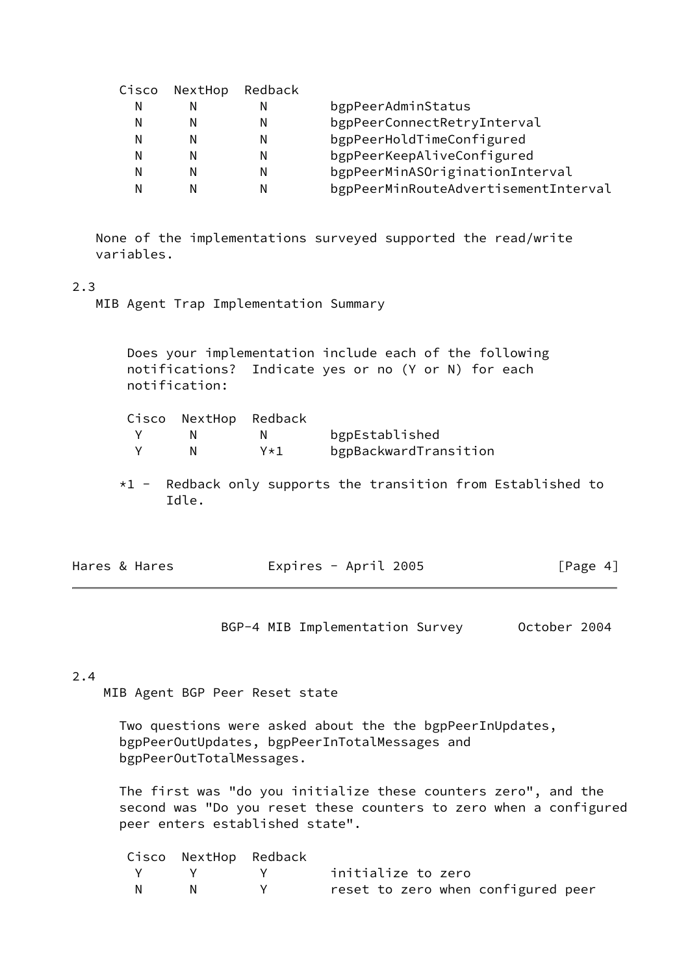| Cisco |   |                                      |
|-------|---|--------------------------------------|
| Ν     | N | bgpPeerAdminStatus                   |
| N     | N | bgpPeerConnectRetryInterval          |
| Ν     | N | bgpPeerHoldTimeConfigured            |
| Ν     | N | bgpPeerKeepAliveConfigured           |
| Ν     | N | bgpPeerMinASOriginationInterval      |
| Ν     | N | bgpPeerMinRouteAdvertisementInterval |
|       |   | NextHop Redback                      |

 None of the implementations surveyed supported the read/write variables.

#### 2.3

MIB Agent Trap Implementation Summary

 Does your implementation include each of the following notifications? Indicate yes or no (Y or N) for each notification:

|  | Cisco NextHop Redback |     |                       |
|--|-----------------------|-----|-----------------------|
|  |                       | N.  | bgpEstablished        |
|  | N.                    | Y∗1 | bgpBackwardTransition |

 $*1$  - Redback only supports the transition from Established to Idle.

<span id="page-4-0"></span>

| Expires - April 2005<br>Hares & Hares | [Page 4] |
|---------------------------------------|----------|
|---------------------------------------|----------|

BGP-4 MIB Implementation Survey October 2004

#### 2.4

MIB Agent BGP Peer Reset state

 Two questions were asked about the the bgpPeerInUpdates, bgpPeerOutUpdates, bgpPeerInTotalMessages and bgpPeerOutTotalMessages.

 The first was "do you initialize these counters zero", and the second was "Do you reset these counters to zero when a configured peer enters established state".

|  | Cisco NextHop Redback |                                    |
|--|-----------------------|------------------------------------|
|  |                       | Y Y Y initialize to zero           |
|  | <b>N</b> N            | reset to zero when configured peer |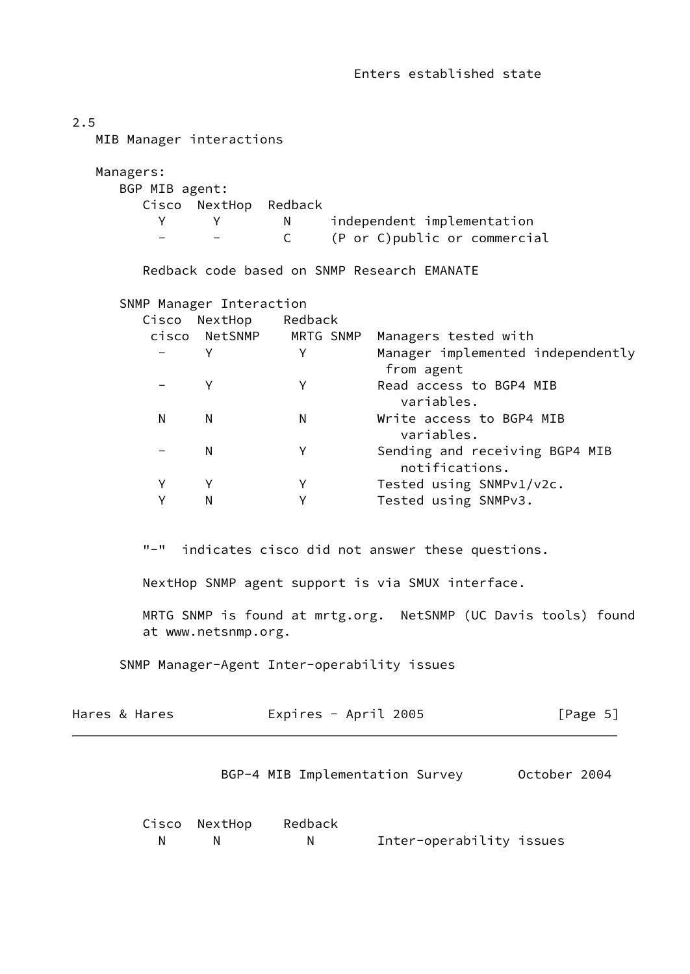| 2.5 |                                  |                                     | MIB Manager interactions            |                                                                  |  |                                                                                                                                                                                                                                                                                                                       |              |  |
|-----|----------------------------------|-------------------------------------|-------------------------------------|------------------------------------------------------------------|--|-----------------------------------------------------------------------------------------------------------------------------------------------------------------------------------------------------------------------------------------------------------------------------------------------------------------------|--------------|--|
|     | Managers:<br>BGP MIB agent:<br>Y |                                     | Cisco NextHop Redback<br>Y          | N<br>$\mathsf{C}$                                                |  | independent implementation<br>(P or C) public or commercial                                                                                                                                                                                                                                                           |              |  |
|     |                                  |                                     |                                     |                                                                  |  | Redback code based on SNMP Research EMANATE                                                                                                                                                                                                                                                                           |              |  |
|     | N<br>Υ<br>Y<br>$\Pi = \Pi$       | Cisco<br>Y<br>Y<br>N<br>N<br>Υ<br>N | SNMP Manager Interaction<br>NextHop | Redback<br>cisco NetSNMP MRTG SNMP<br>Y<br>Y<br>N<br>Y<br>Y<br>Y |  | Managers tested with<br>Manager implemented independently<br>from agent<br>Read access to BGP4 MIB<br>variables.<br>Write access to BGP4 MIB<br>variables.<br>Sending and receiving BGP4 MIB<br>notifications.<br>Tested using SNMPv1/v2c.<br>Tested using SNMPv3.<br>indicates cisco did not answer these questions. |              |  |
|     |                                  |                                     |                                     |                                                                  |  | NextHop SNMP agent support is via SMUX interface.                                                                                                                                                                                                                                                                     |              |  |
|     |                                  |                                     | at www.netsnmp.org.                 |                                                                  |  | MRTG SNMP is found at mrtg.org. NetSNMP (UC Davis tools) found                                                                                                                                                                                                                                                        |              |  |
|     |                                  |                                     |                                     |                                                                  |  | SNMP Manager-Agent Inter-operability issues                                                                                                                                                                                                                                                                           |              |  |
|     | Hares & Hares                    |                                     |                                     | Expires - April 2005                                             |  |                                                                                                                                                                                                                                                                                                                       | [Page 5]     |  |
|     |                                  |                                     |                                     |                                                                  |  | BGP-4 MIB Implementation Survey                                                                                                                                                                                                                                                                                       | October 2004 |  |

<span id="page-5-0"></span>

|  | Cisco NextHop Redback |                          |  |
|--|-----------------------|--------------------------|--|
|  | N                     | Inter-operability issues |  |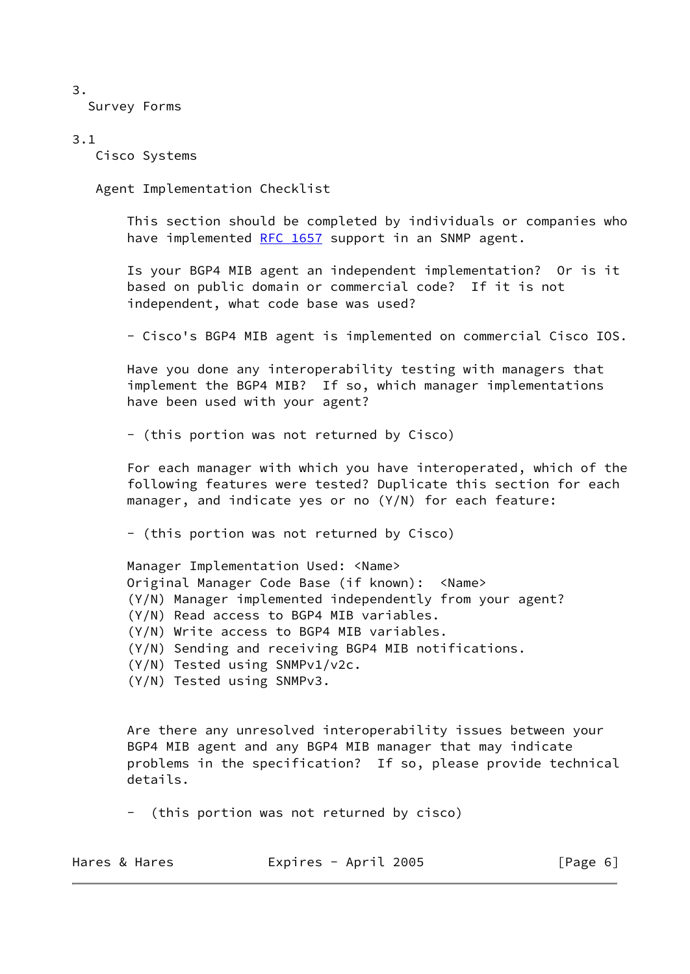3.

Survey Forms

## 3.1

Cisco Systems

Agent Implementation Checklist

 This section should be completed by individuals or companies who have implemented [RFC 1657](https://datatracker.ietf.org/doc/pdf/rfc1657) support in an SNMP agent.

 Is your BGP4 MIB agent an independent implementation? Or is it based on public domain or commercial code? If it is not independent, what code base was used?

- Cisco's BGP4 MIB agent is implemented on commercial Cisco IOS.

 Have you done any interoperability testing with managers that implement the BGP4 MIB? If so, which manager implementations have been used with your agent?

- (this portion was not returned by Cisco)

 For each manager with which you have interoperated, which of the following features were tested? Duplicate this section for each manager, and indicate yes or no (Y/N) for each feature:

- (this portion was not returned by Cisco)

 Manager Implementation Used: <Name> Original Manager Code Base (if known): <Name> (Y/N) Manager implemented independently from your agent? (Y/N) Read access to BGP4 MIB variables. (Y/N) Write access to BGP4 MIB variables. (Y/N) Sending and receiving BGP4 MIB notifications. (Y/N) Tested using SNMPv1/v2c.

(Y/N) Tested using SNMPv3.

 Are there any unresolved interoperability issues between your BGP4 MIB agent and any BGP4 MIB manager that may indicate problems in the specification? If so, please provide technical details.

- (this portion was not returned by cisco)

| Expires - April 2005<br>Hares & Hares | [Page 6] |
|---------------------------------------|----------|
|---------------------------------------|----------|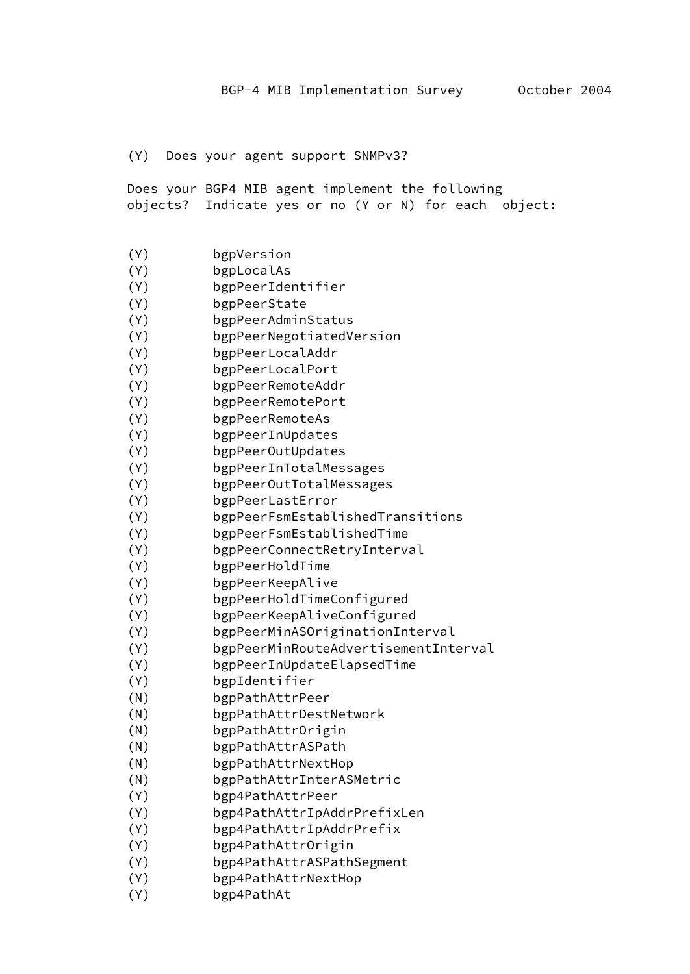#### (Y) Does your agent support SNMPv3?

 Does your BGP4 MIB agent implement the following objects? Indicate yes or no (Y or N) for each object:

- (Y) bgpVersion
- (Y) bgpLocalAs
- (Y) bgpPeerIdentifier
- (Y) bgpPeerState
- (Y) bgpPeerAdminStatus
- (Y) bgpPeerNegotiatedVersion
- (Y) bgpPeerLocalAddr
- (Y) bgpPeerLocalPort
- (Y) bgpPeerRemoteAddr
- (Y) bgpPeerRemotePort
- (Y) bgpPeerRemoteAs
- (Y) bgpPeerInUpdates
- (Y) bgpPeerOutUpdates
- (Y) bgpPeerInTotalMessages
- (Y) bgpPeerOutTotalMessages
- (Y) bgpPeerLastError
- (Y) bgpPeerFsmEstablishedTransitions
- (Y) bgpPeerFsmEstablishedTime
- (Y) bgpPeerConnectRetryInterval
- (Y) bgpPeerHoldTime
- (Y) bgpPeerKeepAlive
- (Y) bgpPeerHoldTimeConfigured
- (Y) bgpPeerKeepAliveConfigured
- (Y) bgpPeerMinASOriginationInterval
- (Y) bgpPeerMinRouteAdvertisementInterval
- (Y) bgpPeerInUpdateElapsedTime
- (Y) bgpIdentifier
- (N) bgpPathAttrPeer
- (N) bgpPathAttrDestNetwork
- (N) bgpPathAttrOrigin
- (N) bgpPathAttrASPath
- (N) bgpPathAttrNextHop
- (N) bgpPathAttrInterASMetric
- (Y) bgp4PathAttrPeer
- (Y) bgp4PathAttrIpAddrPrefixLen
- (Y) bgp4PathAttrIpAddrPrefix
- (Y) bgp4PathAttrOrigin
- (Y) bgp4PathAttrASPathSegment
- (Y) bgp4PathAttrNextHop
- (Y) bgp4PathAt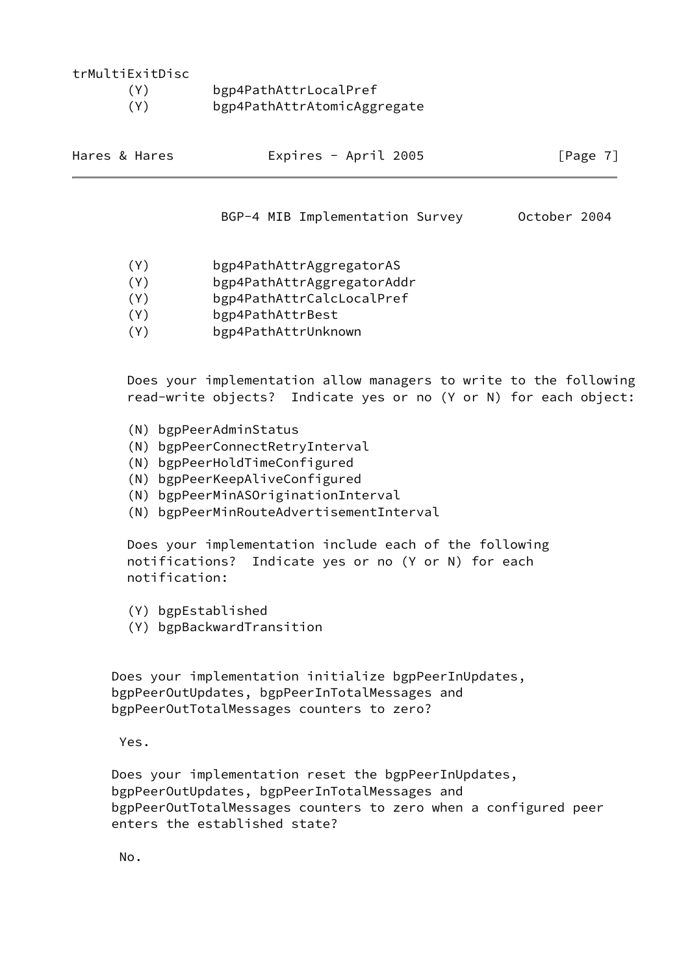| trMultiExitDisc |                             |
|-----------------|-----------------------------|
| (Y)             | bgp4PathAttrLocalPref       |
| (Y)             | bgp4PathAttrAtomicAggregate |

<span id="page-8-0"></span>

| Hares & Hares | Expires - April 2005 | [Page 7] |
|---------------|----------------------|----------|
|               |                      |          |

BGP-4 MIB Implementation Survey October 2004

- (Y) bgp4PathAttrAggregatorAS
- (Y) bgp4PathAttrAggregatorAddr
- (Y) bgp4PathAttrCalcLocalPref
- (Y) bgp4PathAttrBest
- (Y) bgp4PathAttrUnknown

 Does your implementation allow managers to write to the following read-write objects? Indicate yes or no (Y or N) for each object:

- (N) bgpPeerAdminStatus
- (N) bgpPeerConnectRetryInterval
- (N) bgpPeerHoldTimeConfigured
- (N) bgpPeerKeepAliveConfigured
- (N) bgpPeerMinASOriginationInterval
- (N) bgpPeerMinRouteAdvertisementInterval

 Does your implementation include each of the following notifications? Indicate yes or no (Y or N) for each notification:

- (Y) bgpEstablished
- (Y) bgpBackwardTransition

 Does your implementation initialize bgpPeerInUpdates, bgpPeerOutUpdates, bgpPeerInTotalMessages and bgpPeerOutTotalMessages counters to zero?

Yes.

 Does your implementation reset the bgpPeerInUpdates, bgpPeerOutUpdates, bgpPeerInTotalMessages and bgpPeerOutTotalMessages counters to zero when a configured peer enters the established state?

No.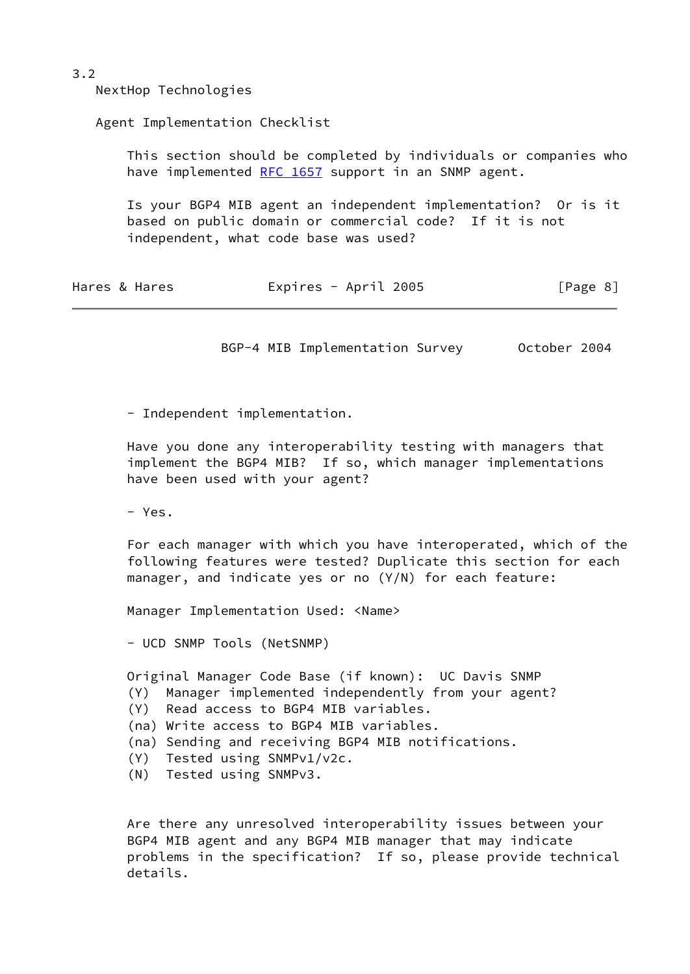3.2

NextHop Technologies

Agent Implementation Checklist

 This section should be completed by individuals or companies who have implemented [RFC 1657](https://datatracker.ietf.org/doc/pdf/rfc1657) support in an SNMP agent.

 Is your BGP4 MIB agent an independent implementation? Or is it based on public domain or commercial code? If it is not independent, what code base was used?

| Hares & Hares | Expires - April 2005 | [Page 8] |
|---------------|----------------------|----------|
|---------------|----------------------|----------|

BGP-4 MIB Implementation Survey October 2004

- Independent implementation.

 Have you done any interoperability testing with managers that implement the BGP4 MIB? If so, which manager implementations have been used with your agent?

- Yes.

 For each manager with which you have interoperated, which of the following features were tested? Duplicate this section for each manager, and indicate yes or no (Y/N) for each feature:

Manager Implementation Used: <Name>

- UCD SNMP Tools (NetSNMP)

Original Manager Code Base (if known): UC Davis SNMP

- (Y) Manager implemented independently from your agent?
- (Y) Read access to BGP4 MIB variables.
- (na) Write access to BGP4 MIB variables.
- (na) Sending and receiving BGP4 MIB notifications.
- (Y) Tested using SNMPv1/v2c.
- (N) Tested using SNMPv3.

 Are there any unresolved interoperability issues between your BGP4 MIB agent and any BGP4 MIB manager that may indicate problems in the specification? If so, please provide technical details.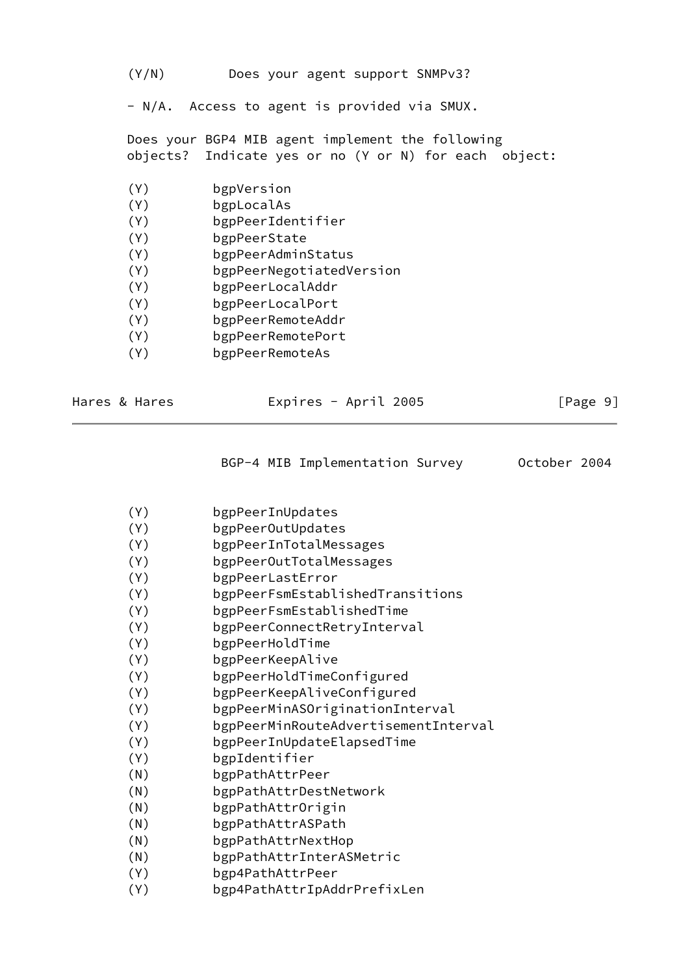(Y/N) Does your agent support SNMPv3?

- N/A. Access to agent is provided via SMUX.

 Does your BGP4 MIB agent implement the following objects? Indicate yes or no (Y or N) for each object:

- (Y) bgpVersion
- (Y) bgpLocalAs
- (Y) bgpPeerIdentifier
- (Y) bgpPeerState
- (Y) bgpPeerAdminStatus
- (Y) bgpPeerNegotiatedVersion
- (Y) bgpPeerLocalAddr
- (Y) bgpPeerLocalPort
- (Y) bgpPeerRemoteAddr
- (Y) bgpPeerRemotePort
- (Y) bgpPeerRemoteAs

| Hares & Hares | Expires - April 2005 | [Page 9] |
|---------------|----------------------|----------|
|               |                      |          |

| BGP-4 MIB Implementation Survey | October 2004 |
|---------------------------------|--------------|
|---------------------------------|--------------|

- (Y) bgpPeerInUpdates
- (Y) bgpPeerOutUpdates
- (Y) bgpPeerInTotalMessages
- (Y) bgpPeerOutTotalMessages
- (Y) bgpPeerLastError
- (Y) bgpPeerFsmEstablishedTransitions
- (Y) bgpPeerFsmEstablishedTime
- (Y) bgpPeerConnectRetryInterval
- (Y) bgpPeerHoldTime
- (Y) bgpPeerKeepAlive
- (Y) bgpPeerHoldTimeConfigured
- (Y) bgpPeerKeepAliveConfigured
- (Y) bgpPeerMinASOriginationInterval
- (Y) bgpPeerMinRouteAdvertisementInterval
- (Y) bgpPeerInUpdateElapsedTime
- (Y) bgpIdentifier
- (N) bgpPathAttrPeer
- (N) bgpPathAttrDestNetwork
- (N) bgpPathAttrOrigin
- (N) bgpPathAttrASPath
- (N) bgpPathAttrNextHop
- (N) bgpPathAttrInterASMetric
- (Y) bgp4PathAttrPeer
- (Y) bgp4PathAttrIpAddrPrefixLen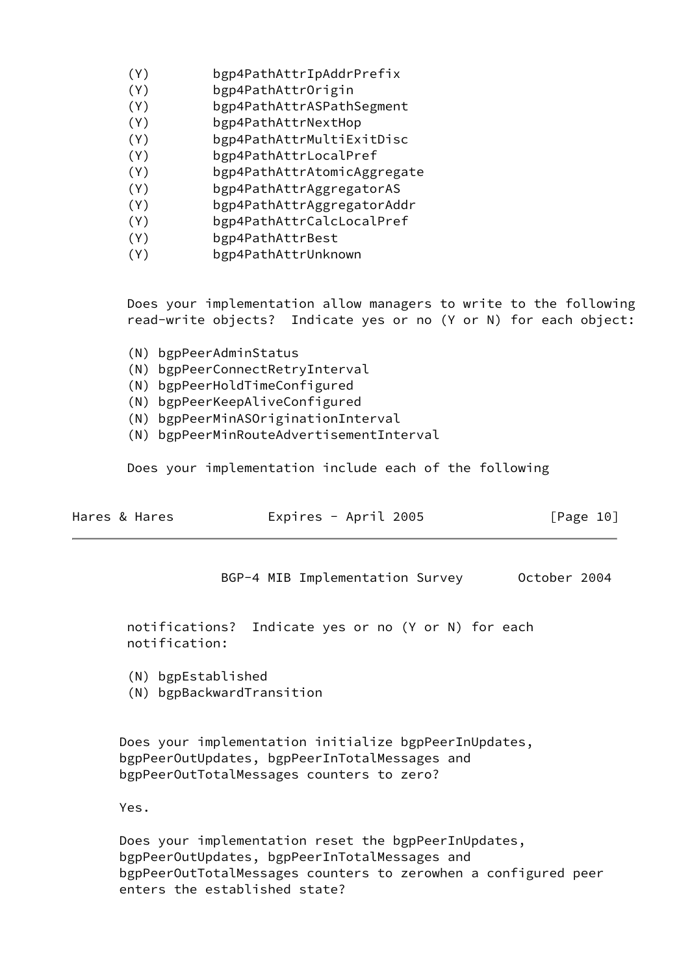- (Y) bgp4PathAttrIpAddrPrefix
- (Y) bgp4PathAttrOrigin
- (Y) bgp4PathAttrASPathSegment
- (Y) bgp4PathAttrNextHop
- (Y) bgp4PathAttrMultiExitDisc
- (Y) bgp4PathAttrLocalPref
- (Y) bgp4PathAttrAtomicAggregate
- (Y) bgp4PathAttrAggregatorAS
- (Y) bgp4PathAttrAggregatorAddr
- (Y) bgp4PathAttrCalcLocalPref
- (Y) bgp4PathAttrBest
- (Y) bgp4PathAttrUnknown

 Does your implementation allow managers to write to the following read-write objects? Indicate yes or no (Y or N) for each object:

- (N) bgpPeerAdminStatus
- (N) bgpPeerConnectRetryInterval
- (N) bgpPeerHoldTimeConfigured
- (N) bgpPeerKeepAliveConfigured
- (N) bgpPeerMinASOriginationInterval
- (N) bgpPeerMinRouteAdvertisementInterval

Does your implementation include each of the following

<span id="page-11-0"></span>

| Hares & Hares | Expires - April 2005 | [Page 10] |  |
|---------------|----------------------|-----------|--|
|               |                      |           |  |

BGP-4 MIB Implementation Survey October 2004

 notifications? Indicate yes or no (Y or N) for each notification:

- (N) bgpEstablished
- (N) bgpBackwardTransition

 Does your implementation initialize bgpPeerInUpdates, bgpPeerOutUpdates, bgpPeerInTotalMessages and bgpPeerOutTotalMessages counters to zero?

Yes.

 Does your implementation reset the bgpPeerInUpdates, bgpPeerOutUpdates, bgpPeerInTotalMessages and bgpPeerOutTotalMessages counters to zerowhen a configured peer enters the established state?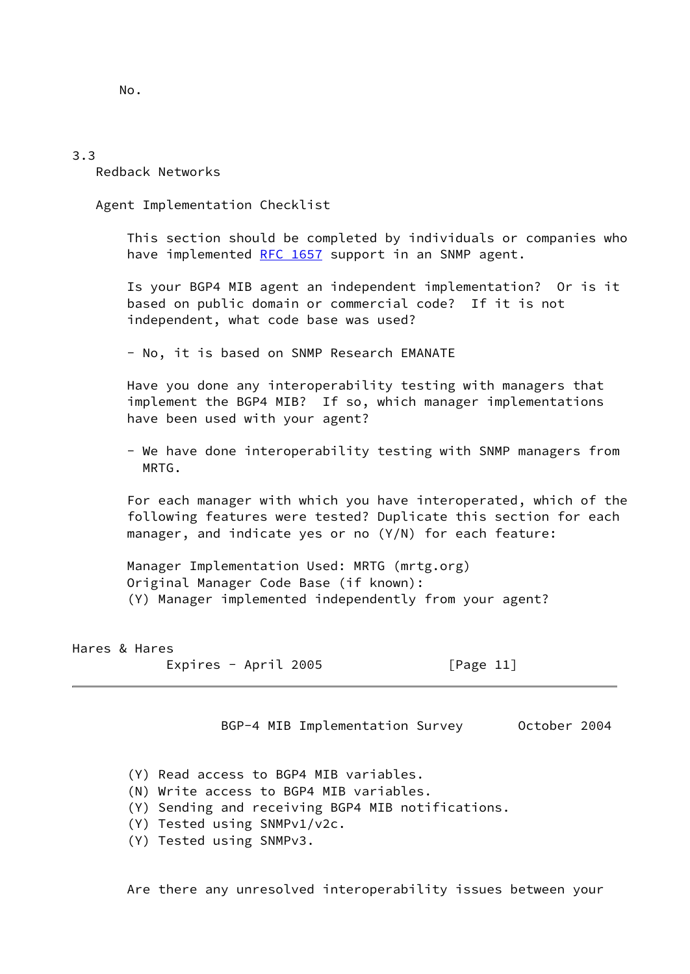No.

#### 3.3

Redback Networks

Agent Implementation Checklist

 This section should be completed by individuals or companies who have implemented [RFC 1657](https://datatracker.ietf.org/doc/pdf/rfc1657) support in an SNMP agent.

 Is your BGP4 MIB agent an independent implementation? Or is it based on public domain or commercial code? If it is not independent, what code base was used?

- No, it is based on SNMP Research EMANATE

 Have you done any interoperability testing with managers that implement the BGP4 MIB? If so, which manager implementations have been used with your agent?

 - We have done interoperability testing with SNMP managers from MRTG.

 For each manager with which you have interoperated, which of the following features were tested? Duplicate this section for each manager, and indicate yes or no (Y/N) for each feature:

 Manager Implementation Used: MRTG (mrtg.org) Original Manager Code Base (if known): (Y) Manager implemented independently from your agent?

Hares & Hares Expires - April 2005 [Page 11]

BGP-4 MIB Implementation Survey October 2004

- (Y) Read access to BGP4 MIB variables.
- (N) Write access to BGP4 MIB variables.
- (Y) Sending and receiving BGP4 MIB notifications.
- (Y) Tested using SNMPv1/v2c.
- (Y) Tested using SNMPv3.

Are there any unresolved interoperability issues between your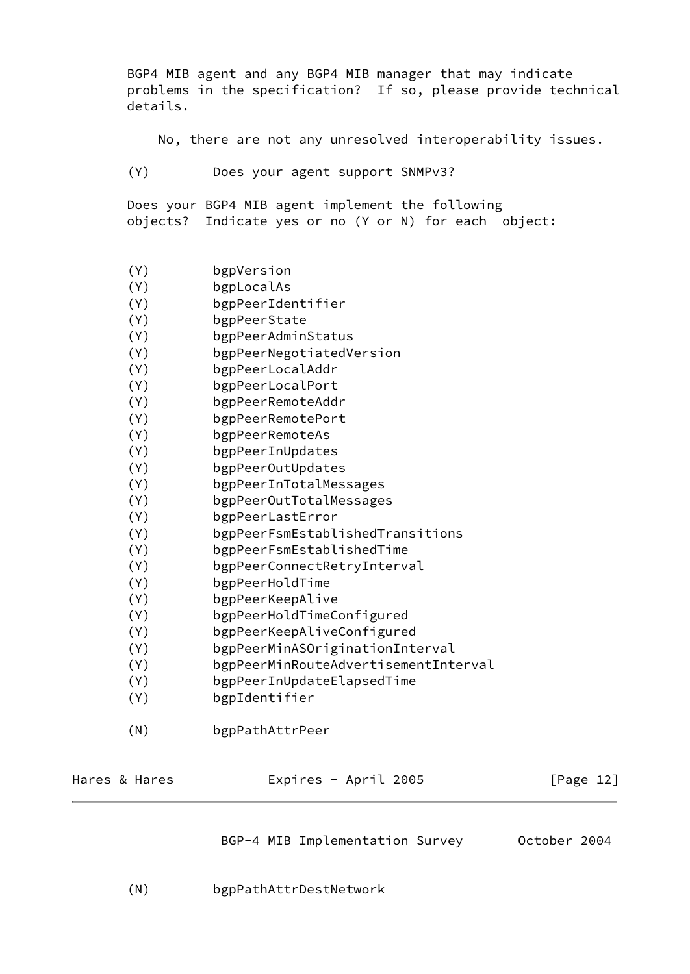BGP4 MIB agent and any BGP4 MIB manager that may indicate problems in the specification? If so, please provide technical details.

No, there are not any unresolved interoperability issues.

(Y) Does your agent support SNMPv3?

 Does your BGP4 MIB agent implement the following objects? Indicate yes or no (Y or N) for each object:

- (Y) bgpVersion
- (Y) bgpLocalAs
- (Y) bgpPeerIdentifier
- (Y) bgpPeerState
- (Y) bgpPeerAdminStatus
- (Y) bgpPeerNegotiatedVersion
- (Y) bgpPeerLocalAddr
- (Y) bgpPeerLocalPort
- (Y) bgpPeerRemoteAddr
- (Y) bgpPeerRemotePort
- (Y) bgpPeerRemoteAs
- (Y) bgpPeerInUpdates
- (Y) bgpPeerOutUpdates
- (Y) bgpPeerInTotalMessages
- (Y) bgpPeerOutTotalMessages
- (Y) bgpPeerLastError
- (Y) bgpPeerFsmEstablishedTransitions
- (Y) bgpPeerFsmEstablishedTime
- (Y) bgpPeerConnectRetryInterval
- (Y) bgpPeerHoldTime
- (Y) bgpPeerKeepAlive
- (Y) bgpPeerHoldTimeConfigured
- (Y) bgpPeerKeepAliveConfigured
- (Y) bgpPeerMinASOriginationInterval
- (Y) bgpPeerMinRouteAdvertisementInterval
- (Y) bgpPeerInUpdateElapsedTime
- (Y) bgpIdentifier
- (N) bgpPathAttrPeer

| Hares & Hares | Expires - April 2005 | [Page 12] |
|---------------|----------------------|-----------|
|               |                      |           |

BGP-4 MIB Implementation Survey 0ctober 2004

(N) bgpPathAttrDestNetwork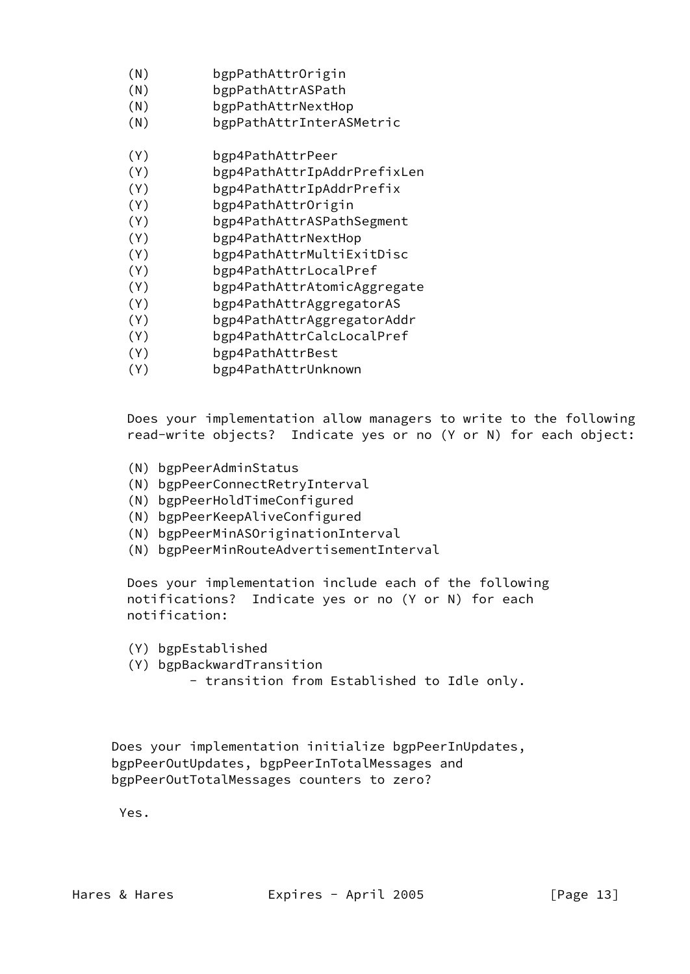- (N) bgpPathAttrOrigin
- (N) bgpPathAttrASPath
- (N) bgpPathAttrNextHop
- (N) bgpPathAttrInterASMetric
- (Y) bgp4PathAttrPeer
- (Y) bgp4PathAttrIpAddrPrefixLen
- (Y) bgp4PathAttrIpAddrPrefix
- (Y) bgp4PathAttrOrigin
- (Y) bgp4PathAttrASPathSegment
- (Y) bgp4PathAttrNextHop
- (Y) bgp4PathAttrMultiExitDisc
- (Y) bgp4PathAttrLocalPref
- (Y) bgp4PathAttrAtomicAggregate
- (Y) bgp4PathAttrAggregatorAS
- (Y) bgp4PathAttrAggregatorAddr
- (Y) bgp4PathAttrCalcLocalPref
- (Y) bgp4PathAttrBest
- (Y) bgp4PathAttrUnknown

 Does your implementation allow managers to write to the following read-write objects? Indicate yes or no (Y or N) for each object:

- (N) bgpPeerAdminStatus
- (N) bgpPeerConnectRetryInterval
- (N) bgpPeerHoldTimeConfigured
- (N) bgpPeerKeepAliveConfigured
- (N) bgpPeerMinASOriginationInterval
- (N) bgpPeerMinRouteAdvertisementInterval

 Does your implementation include each of the following notifications? Indicate yes or no (Y or N) for each notification:

- (Y) bgpEstablished
- (Y) bgpBackwardTransition
	- transition from Established to Idle only.

 Does your implementation initialize bgpPeerInUpdates, bgpPeerOutUpdates, bgpPeerInTotalMessages and bgpPeerOutTotalMessages counters to zero?

Yes.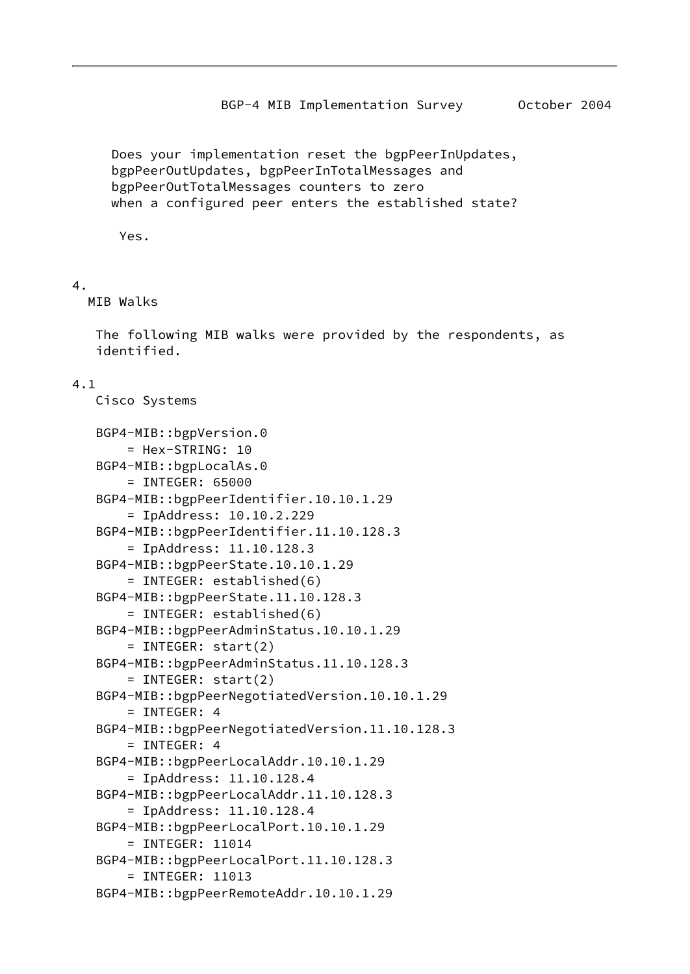BGP-4 MIB Implementation Survey 0ctober 2004

<span id="page-15-0"></span> Does your implementation reset the bgpPeerInUpdates, bgpPeerOutUpdates, bgpPeerInTotalMessages and bgpPeerOutTotalMessages counters to zero when a configured peer enters the established state?

Yes.

## 4.

MIB Walks

 The following MIB walks were provided by the respondents, as identified.

## 4.1

Cisco Systems

```
 BGP4-MIB::bgpVersion.0
     = Hex-STRING: 10
 BGP4-MIB::bgpLocalAs.0
     = INTEGER: 65000
 BGP4-MIB::bgpPeerIdentifier.10.10.1.29
     = IpAddress: 10.10.2.229
 BGP4-MIB::bgpPeerIdentifier.11.10.128.3
     = IpAddress: 11.10.128.3
 BGP4-MIB::bgpPeerState.10.10.1.29
     = INTEGER: established(6)
 BGP4-MIB::bgpPeerState.11.10.128.3
     = INTEGER: established(6)
 BGP4-MIB::bgpPeerAdminStatus.10.10.1.29
     = INTEGER: start(2)
 BGP4-MIB::bgpPeerAdminStatus.11.10.128.3
     = INTEGER: start(2)
 BGP4-MIB::bgpPeerNegotiatedVersion.10.10.1.29
    = INTEGER: 4
 BGP4-MIB::bgpPeerNegotiatedVersion.11.10.128.3
    = INTEGER: 4
 BGP4-MIB::bgpPeerLocalAddr.10.10.1.29
     = IpAddress: 11.10.128.4
 BGP4-MIB::bgpPeerLocalAddr.11.10.128.3
     = IpAddress: 11.10.128.4
 BGP4-MIB::bgpPeerLocalPort.10.10.1.29
     = INTEGER: 11014
 BGP4-MIB::bgpPeerLocalPort.11.10.128.3
     = INTEGER: 11013
 BGP4-MIB::bgpPeerRemoteAddr.10.10.1.29
```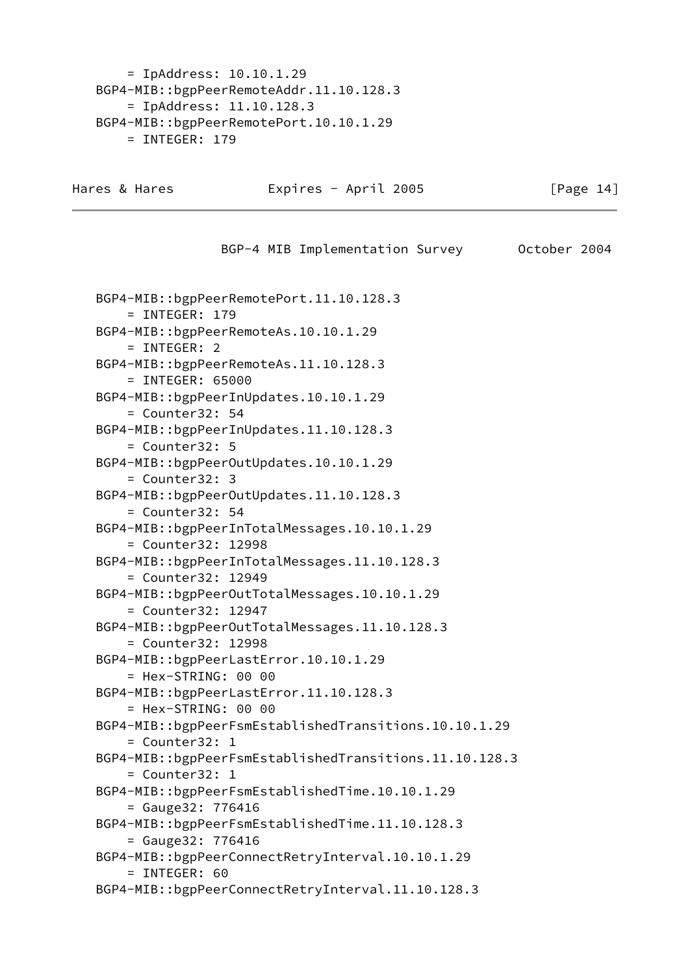= IpAddress: 10.10.1.29 BGP4-MIB::bgpPeerRemoteAddr.11.10.128.3 = IpAddress: 11.10.128.3 BGP4-MIB::bgpPeerRemotePort.10.10.1.29 = INTEGER: 179

Hares & Hares **Expires - April 2005** [Page 14]

 BGP-4 MIB Implementation Survey October 2004 BGP4-MIB::bgpPeerRemotePort.11.10.128.3 = INTEGER: 179 BGP4-MIB::bgpPeerRemoteAs.10.10.1.29 = INTEGER: 2 BGP4-MIB::bgpPeerRemoteAs.11.10.128.3 = INTEGER: 65000 BGP4-MIB::bgpPeerInUpdates.10.10.1.29 = Counter32: 54 BGP4-MIB::bgpPeerInUpdates.11.10.128.3 = Counter32: 5 BGP4-MIB::bgpPeerOutUpdates.10.10.1.29 = Counter32: 3 BGP4-MIB::bgpPeerOutUpdates.11.10.128.3 = Counter32: 54 BGP4-MIB::bgpPeerInTotalMessages.10.10.1.29 = Counter32: 12998 BGP4-MIB::bgpPeerInTotalMessages.11.10.128.3 = Counter32: 12949 BGP4-MIB::bgpPeerOutTotalMessages.10.10.1.29 = Counter32: 12947 BGP4-MIB::bgpPeerOutTotalMessages.11.10.128.3 = Counter32: 12998 BGP4-MIB::bgpPeerLastError.10.10.1.29 = Hex-STRING: 00 00 BGP4-MIB::bgpPeerLastError.11.10.128.3 = Hex-STRING: 00 00 BGP4-MIB::bgpPeerFsmEstablishedTransitions.10.10.1.29 = Counter32: 1 BGP4-MIB::bgpPeerFsmEstablishedTransitions.11.10.128.3 = Counter32: 1 BGP4-MIB::bgpPeerFsmEstablishedTime.10.10.1.29 = Gauge32: 776416 BGP4-MIB::bgpPeerFsmEstablishedTime.11.10.128.3 = Gauge32: 776416 BGP4-MIB::bgpPeerConnectRetryInterval.10.10.1.29 = INTEGER: 60 BGP4-MIB::bgpPeerConnectRetryInterval.11.10.128.3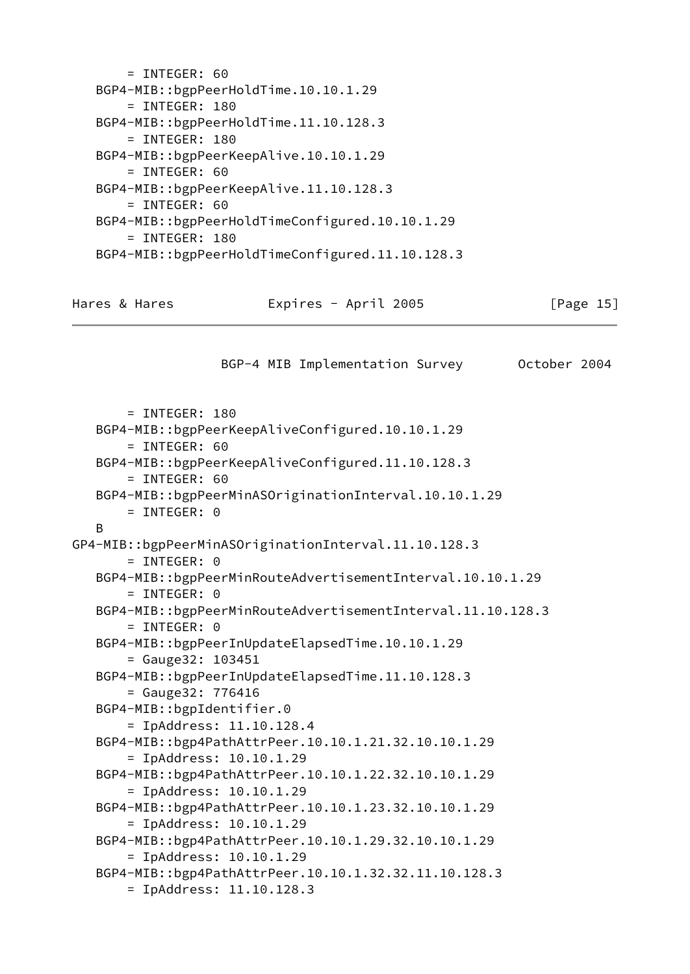```
= INTEGER: 60
 BGP4-MIB::bgpPeerHoldTime.10.10.1.29
     = INTEGER: 180
 BGP4-MIB::bgpPeerHoldTime.11.10.128.3
     = INTEGER: 180
 BGP4-MIB::bgpPeerKeepAlive.10.10.1.29
    = INTEGER: 60
 BGP4-MIB::bgpPeerKeepAlive.11.10.128.3
     = INTEGER: 60
 BGP4-MIB::bgpPeerHoldTimeConfigured.10.10.1.29
     = INTEGER: 180
 BGP4-MIB::bgpPeerHoldTimeConfigured.11.10.128.3
```

| Hares & Hares | Expires - April 2005 | [Page 15] |
|---------------|----------------------|-----------|
|---------------|----------------------|-----------|

BGP-4 MIB Implementation Survey October 2004

```
 = INTEGER: 180
    BGP4-MIB::bgpPeerKeepAliveConfigured.10.10.1.29
        = INTEGER: 60
    BGP4-MIB::bgpPeerKeepAliveConfigured.11.10.128.3
        = INTEGER: 60
    BGP4-MIB::bgpPeerMinASOriginationInterval.10.10.1.29
       = INTEGER: 0
    B
GP4-MIB::bgpPeerMinASOriginationInterval.11.10.128.3
        = INTEGER: 0
    BGP4-MIB::bgpPeerMinRouteAdvertisementInterval.10.10.1.29
        = INTEGER: 0
    BGP4-MIB::bgpPeerMinRouteAdvertisementInterval.11.10.128.3
       = INTEGER: 0
    BGP4-MIB::bgpPeerInUpdateElapsedTime.10.10.1.29
        = Gauge32: 103451
    BGP4-MIB::bgpPeerInUpdateElapsedTime.11.10.128.3
        = Gauge32: 776416
    BGP4-MIB::bgpIdentifier.0
        = IpAddress: 11.10.128.4
    BGP4-MIB::bgp4PathAttrPeer.10.10.1.21.32.10.10.1.29
        = IpAddress: 10.10.1.29
    BGP4-MIB::bgp4PathAttrPeer.10.10.1.22.32.10.10.1.29
        = IpAddress: 10.10.1.29
    BGP4-MIB::bgp4PathAttrPeer.10.10.1.23.32.10.10.1.29
        = IpAddress: 10.10.1.29
    BGP4-MIB::bgp4PathAttrPeer.10.10.1.29.32.10.10.1.29
        = IpAddress: 10.10.1.29
    BGP4-MIB::bgp4PathAttrPeer.10.10.1.32.32.11.10.128.3
        = IpAddress: 11.10.128.3
```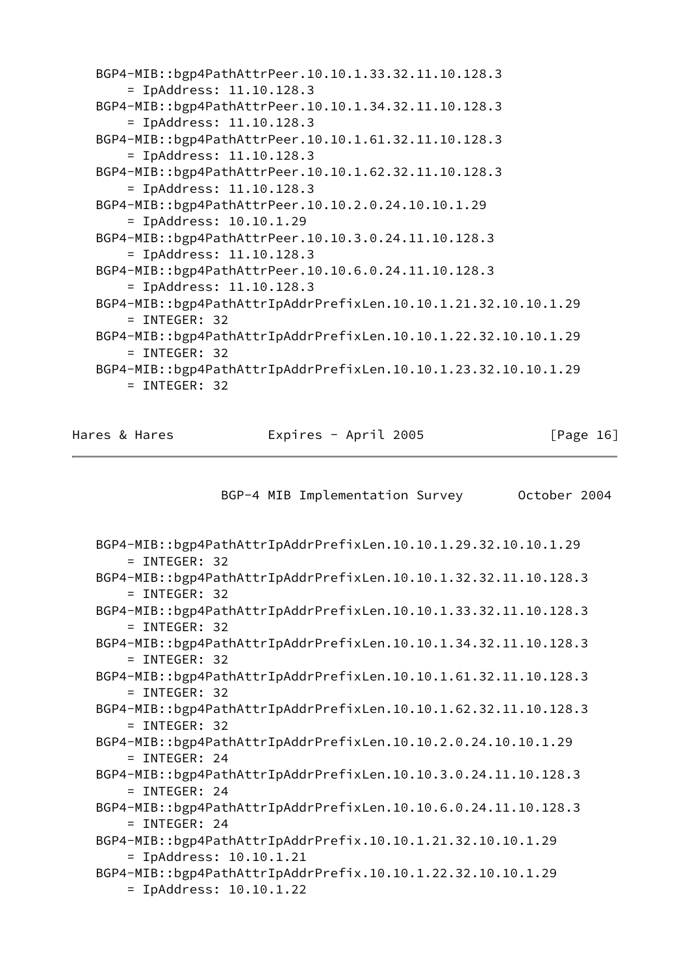| BGP4-MIB::bgp4PathAttrPeer.10.10.1.33.32.11.10.128.3<br>$=$ IpAddress: 11.10.128.3 |
|------------------------------------------------------------------------------------|
| BGP4-MIB::bgp4PathAttrPeer.10.10.1.34.32.11.10.128.3<br>$=$ IpAddress: 11.10.128.3 |
| BGP4-MIB::bgp4PathAttrPeer.10.10.1.61.32.11.10.128.3<br>$=$ IpAddress: 11.10.128.3 |
| BGP4-MIB::bgp4PathAttrPeer.10.10.1.62.32.11.10.128.3<br>$=$ IpAddress: 11.10.128.3 |
| BGP4-MIB::bgp4PathAttrPeer.10.10.2.0.24.10.10.1.29<br>$=$ IpAddress: 10.10.1.29    |
| BGP4-MIB::bgp4PathAttrPeer.10.10.3.0.24.11.10.128.3<br>$=$ IpAddress: 11.10.128.3  |
| BGP4-MIB::bgp4PathAttrPeer.10.10.6.0.24.11.10.128.3<br>$=$ IpAddress: 11.10.128.3  |
| BGP4-MIB::bgp4PathAttrIpAddrPrefixLen.10.10.1.21.32.10.10.1.29<br>$=$ INTEGER: 32  |
| BGP4-MIB::bgp4PathAttrIpAddrPrefixLen.10.10.1.22.32.10.10.1.29<br>$=$ INTEGER: 32  |
| BGP4-MIB::bgp4PathAttrIpAddrPrefixLen.10.10.1.23.32.10.10.1.29<br>$=$ INTEGER: 32  |

Hares & Hares **Expires - April 2005** [Page 16]

BGP-4 MIB Implementation Survey October 2004

```
 BGP4-MIB::bgp4PathAttrIpAddrPrefixLen.10.10.1.29.32.10.10.1.29
     = INTEGER: 32
 BGP4-MIB::bgp4PathAttrIpAddrPrefixLen.10.10.1.32.32.11.10.128.3
     = INTEGER: 32
 BGP4-MIB::bgp4PathAttrIpAddrPrefixLen.10.10.1.33.32.11.10.128.3
     = INTEGER: 32
 BGP4-MIB::bgp4PathAttrIpAddrPrefixLen.10.10.1.34.32.11.10.128.3
     = INTEGER: 32
 BGP4-MIB::bgp4PathAttrIpAddrPrefixLen.10.10.1.61.32.11.10.128.3
     = INTEGER: 32
 BGP4-MIB::bgp4PathAttrIpAddrPrefixLen.10.10.1.62.32.11.10.128.3
     = INTEGER: 32
 BGP4-MIB::bgp4PathAttrIpAddrPrefixLen.10.10.2.0.24.10.10.1.29
     = INTEGER: 24
 BGP4-MIB::bgp4PathAttrIpAddrPrefixLen.10.10.3.0.24.11.10.128.3
     = INTEGER: 24
 BGP4-MIB::bgp4PathAttrIpAddrPrefixLen.10.10.6.0.24.11.10.128.3
     = INTEGER: 24
 BGP4-MIB::bgp4PathAttrIpAddrPrefix.10.10.1.21.32.10.10.1.29
     = IpAddress: 10.10.1.21
 BGP4-MIB::bgp4PathAttrIpAddrPrefix.10.10.1.22.32.10.10.1.29
     = IpAddress: 10.10.1.22
```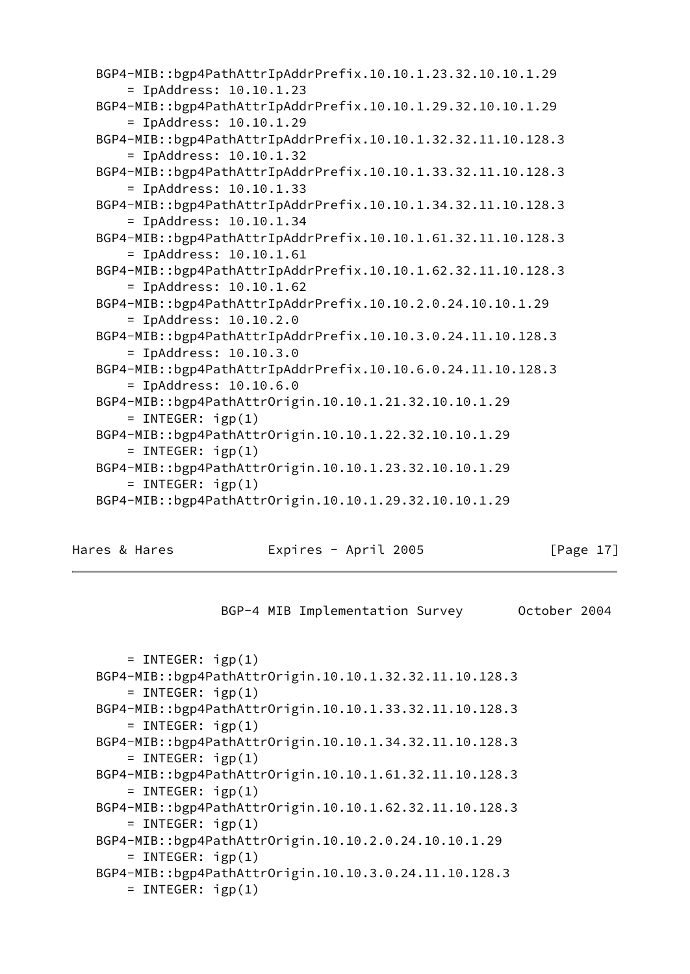| BGP4-MIB::bgp4PathAttrIpAddrPrefix.10.10.1.23.32.10.10.1.29<br>$=$ IpAddress: 10.10.1.23  |
|-------------------------------------------------------------------------------------------|
| BGP4-MIB::bgp4PathAttrIpAddrPrefix.10.10.1.29.32.10.10.1.29                               |
| $=$ IpAddress: 10.10.1.29<br>BGP4-MIB::bgp4PathAttrIpAddrPrefix.10.10.1.32.32.11.10.128.3 |
| $=$ IpAddress: 10.10.1.32<br>BGP4-MIB::bgp4PathAttrIpAddrPrefix.10.10.1.33.32.11.10.128.3 |
| $=$ IpAddress: 10.10.1.33                                                                 |
| BGP4-MIB::bgp4PathAttrIpAddrPrefix.10.10.1.34.32.11.10.128.3<br>$=$ IpAddress: 10.10.1.34 |
| BGP4-MIB::bgp4PathAttrIpAddrPrefix.10.10.1.61.32.11.10.128.3<br>$=$ IpAddress: 10.10.1.61 |
| BGP4-MIB::bgp4PathAttrIpAddrPrefix.10.10.1.62.32.11.10.128.3                              |
| $=$ IpAddress: 10.10.1.62<br>BGP4-MIB::bgp4PathAttrIpAddrPrefix.10.10.2.0.24.10.10.1.29   |
| $=$ IpAddress: 10.10.2.0                                                                  |
| BGP4-MIB::bgp4PathAttrIpAddrPrefix.10.10.3.0.24.11.10.128.3<br>$=$ IpAddress: 10.10.3.0   |
| BGP4-MIB::bgp4PathAttrIpAddrPrefix.10.10.6.0.24.11.10.128.3<br>$=$ IpAddress: 10.10.6.0   |
| BGP4-MIB::bgp4PathAttrOrigin.10.10.1.21.32.10.10.1.29                                     |
| = INTEGER: $igp(1)$<br>BGP4-MIB::bgp4PathAttrOrigin.10.10.1.22.32.10.10.1.29              |
| $=$ INTEGER: $igp(1)$<br>BGP4-MIB::bgp4PathAttrOrigin.10.10.1.23.32.10.10.1.29            |
| $=$ INTEGER: $igp(1)$                                                                     |
| BGP4-MIB::bgp4PathAttrOrigin.10.10.1.29.32.10.10.1.29                                     |

Hares & Hares **Expires - April 2005** [Page 17]

```
 BGP-4 MIB Implementation Survey October 2004
```

```
= INTEGER: igp(1) BGP4-MIB::bgp4PathAttrOrigin.10.10.1.32.32.11.10.128.3
    = INTEGER: igp(1) BGP4-MIB::bgp4PathAttrOrigin.10.10.1.33.32.11.10.128.3
    = INTEGER: igp(1) BGP4-MIB::bgp4PathAttrOrigin.10.10.1.34.32.11.10.128.3
    = INTEGER: igp(1) BGP4-MIB::bgp4PathAttrOrigin.10.10.1.61.32.11.10.128.3
    = INTEGER: igp(1) BGP4-MIB::bgp4PathAttrOrigin.10.10.1.62.32.11.10.128.3
    = INTEGER: igp(1) BGP4-MIB::bgp4PathAttrOrigin.10.10.2.0.24.10.10.1.29
    = INTEGER: igp(1) BGP4-MIB::bgp4PathAttrOrigin.10.10.3.0.24.11.10.128.3
    = INTEGER: igp(1)
```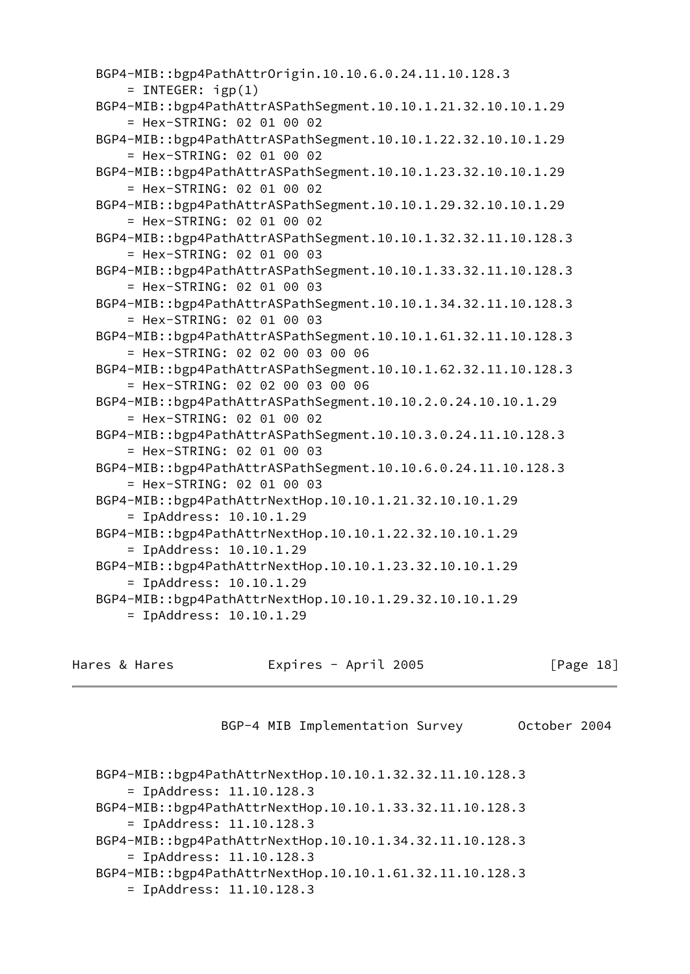```
 BGP4-MIB::bgp4PathAttrOrigin.10.10.6.0.24.11.10.128.3
    = INTEGER: igp(1) BGP4-MIB::bgp4PathAttrASPathSegment.10.10.1.21.32.10.10.1.29
     = Hex-STRING: 02 01 00 02
 BGP4-MIB::bgp4PathAttrASPathSegment.10.10.1.22.32.10.10.1.29
     = Hex-STRING: 02 01 00 02
 BGP4-MIB::bgp4PathAttrASPathSegment.10.10.1.23.32.10.10.1.29
     = Hex-STRING: 02 01 00 02
 BGP4-MIB::bgp4PathAttrASPathSegment.10.10.1.29.32.10.10.1.29
     = Hex-STRING: 02 01 00 02
 BGP4-MIB::bgp4PathAttrASPathSegment.10.10.1.32.32.11.10.128.3
     = Hex-STRING: 02 01 00 03
 BGP4-MIB::bgp4PathAttrASPathSegment.10.10.1.33.32.11.10.128.3
     = Hex-STRING: 02 01 00 03
 BGP4-MIB::bgp4PathAttrASPathSegment.10.10.1.34.32.11.10.128.3
     = Hex-STRING: 02 01 00 03
 BGP4-MIB::bgp4PathAttrASPathSegment.10.10.1.61.32.11.10.128.3
     = Hex-STRING: 02 02 00 03 00 06
 BGP4-MIB::bgp4PathAttrASPathSegment.10.10.1.62.32.11.10.128.3
     = Hex-STRING: 02 02 00 03 00 06
 BGP4-MIB::bgp4PathAttrASPathSegment.10.10.2.0.24.10.10.1.29
     = Hex-STRING: 02 01 00 02
 BGP4-MIB::bgp4PathAttrASPathSegment.10.10.3.0.24.11.10.128.3
     = Hex-STRING: 02 01 00 03
 BGP4-MIB::bgp4PathAttrASPathSegment.10.10.6.0.24.11.10.128.3
     = Hex-STRING: 02 01 00 03
 BGP4-MIB::bgp4PathAttrNextHop.10.10.1.21.32.10.10.1.29
     = IpAddress: 10.10.1.29
 BGP4-MIB::bgp4PathAttrNextHop.10.10.1.22.32.10.10.1.29
     = IpAddress: 10.10.1.29
 BGP4-MIB::bgp4PathAttrNextHop.10.10.1.23.32.10.10.1.29
     = IpAddress: 10.10.1.29
 BGP4-MIB::bgp4PathAttrNextHop.10.10.1.29.32.10.10.1.29
     = IpAddress: 10.10.1.29
```
Hares & Hares Expires - April 2005 [Page 18]

BGP-4 MIB Implementation Survey October 2004

```
 BGP4-MIB::bgp4PathAttrNextHop.10.10.1.32.32.11.10.128.3
     = IpAddress: 11.10.128.3
 BGP4-MIB::bgp4PathAttrNextHop.10.10.1.33.32.11.10.128.3
     = IpAddress: 11.10.128.3
 BGP4-MIB::bgp4PathAttrNextHop.10.10.1.34.32.11.10.128.3
     = IpAddress: 11.10.128.3
 BGP4-MIB::bgp4PathAttrNextHop.10.10.1.61.32.11.10.128.3
     = IpAddress: 11.10.128.3
```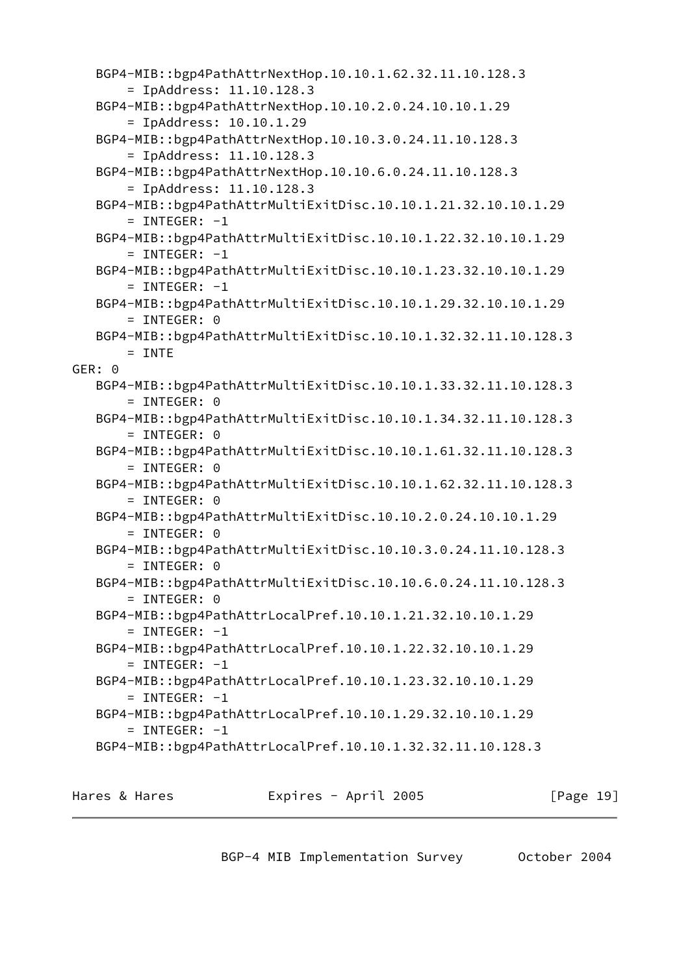```
 BGP4-MIB::bgp4PathAttrNextHop.10.10.1.62.32.11.10.128.3
        = IpAddress: 11.10.128.3
    BGP4-MIB::bgp4PathAttrNextHop.10.10.2.0.24.10.10.1.29
        = IpAddress: 10.10.1.29
    BGP4-MIB::bgp4PathAttrNextHop.10.10.3.0.24.11.10.128.3
        = IpAddress: 11.10.128.3
    BGP4-MIB::bgp4PathAttrNextHop.10.10.6.0.24.11.10.128.3
        = IpAddress: 11.10.128.3
    BGP4-MIB::bgp4PathAttrMultiExitDisc.10.10.1.21.32.10.10.1.29
       = INTEGER: -1 BGP4-MIB::bgp4PathAttrMultiExitDisc.10.10.1.22.32.10.10.1.29
       = INTEGER: -1 BGP4-MIB::bgp4PathAttrMultiExitDisc.10.10.1.23.32.10.10.1.29
       = INTEGER: -1 BGP4-MIB::bgp4PathAttrMultiExitDisc.10.10.1.29.32.10.10.1.29
        = INTEGER: 0
    BGP4-MIB::bgp4PathAttrMultiExitDisc.10.10.1.32.32.11.10.128.3
       = INTE
GER: 0
    BGP4-MIB::bgp4PathAttrMultiExitDisc.10.10.1.33.32.11.10.128.3
        = INTEGER: 0
    BGP4-MIB::bgp4PathAttrMultiExitDisc.10.10.1.34.32.11.10.128.3
       = INTEGER: 0
    BGP4-MIB::bgp4PathAttrMultiExitDisc.10.10.1.61.32.11.10.128.3
        = INTEGER: 0
    BGP4-MIB::bgp4PathAttrMultiExitDisc.10.10.1.62.32.11.10.128.3
        = INTEGER: 0
    BGP4-MIB::bgp4PathAttrMultiExitDisc.10.10.2.0.24.10.10.1.29
        = INTEGER: 0
    BGP4-MIB::bgp4PathAttrMultiExitDisc.10.10.3.0.24.11.10.128.3
        = INTEGER: 0
    BGP4-MIB::bgp4PathAttrMultiExitDisc.10.10.6.0.24.11.10.128.3
       = INTEGER: 0
    BGP4-MIB::bgp4PathAttrLocalPref.10.10.1.21.32.10.10.1.29
       = INTEGER: -1 BGP4-MIB::bgp4PathAttrLocalPref.10.10.1.22.32.10.10.1.29
       = INTEGER: -1 BGP4-MIB::bgp4PathAttrLocalPref.10.10.1.23.32.10.10.1.29
       = INTEGER: -1 BGP4-MIB::bgp4PathAttrLocalPref.10.10.1.29.32.10.10.1.29
       = INTEGER: -1 BGP4-MIB::bgp4PathAttrLocalPref.10.10.1.32.32.11.10.128.3
```
Hares & Hares **Expires - April 2005** [Page 19]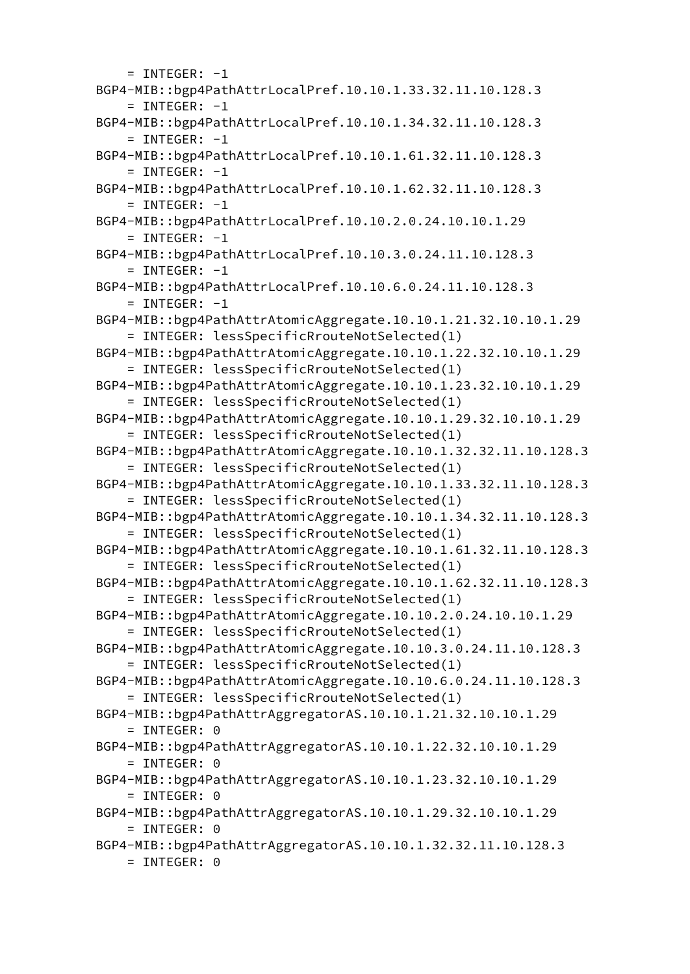$=$  INTEGER:  $-1$  BGP4-MIB::bgp4PathAttrLocalPref.10.10.1.33.32.11.10.128.3  $=$  INTEGER:  $-1$  BGP4-MIB::bgp4PathAttrLocalPref.10.10.1.34.32.11.10.128.3  $=$  INTEGER:  $-1$  BGP4-MIB::bgp4PathAttrLocalPref.10.10.1.61.32.11.10.128.3  $=$  INTEGER:  $-1$  BGP4-MIB::bgp4PathAttrLocalPref.10.10.1.62.32.11.10.128.3  $=$  INTEGER:  $-1$  BGP4-MIB::bgp4PathAttrLocalPref.10.10.2.0.24.10.10.1.29  $=$  INTEGER:  $-1$  BGP4-MIB::bgp4PathAttrLocalPref.10.10.3.0.24.11.10.128.3  $=$  INTEGER:  $-1$  BGP4-MIB::bgp4PathAttrLocalPref.10.10.6.0.24.11.10.128.3  $=$  INTEGER:  $-1$  BGP4-MIB::bgp4PathAttrAtomicAggregate.10.10.1.21.32.10.10.1.29 = INTEGER: lessSpecificRrouteNotSelected(1) BGP4-MIB::bgp4PathAttrAtomicAggregate.10.10.1.22.32.10.10.1.29 = INTEGER: lessSpecificRrouteNotSelected(1) BGP4-MIB::bgp4PathAttrAtomicAggregate.10.10.1.23.32.10.10.1.29 = INTEGER: lessSpecificRrouteNotSelected(1) BGP4-MIB::bgp4PathAttrAtomicAggregate.10.10.1.29.32.10.10.1.29 = INTEGER: lessSpecificRrouteNotSelected(1) BGP4-MIB::bgp4PathAttrAtomicAggregate.10.10.1.32.32.11.10.128.3 = INTEGER: lessSpecificRrouteNotSelected(1) BGP4-MIB::bgp4PathAttrAtomicAggregate.10.10.1.33.32.11.10.128.3 = INTEGER: lessSpecificRrouteNotSelected(1) BGP4-MIB::bgp4PathAttrAtomicAggregate.10.10.1.34.32.11.10.128.3 = INTEGER: lessSpecificRrouteNotSelected(1) BGP4-MIB::bgp4PathAttrAtomicAggregate.10.10.1.61.32.11.10.128.3 = INTEGER: lessSpecificRrouteNotSelected(1) BGP4-MIB::bgp4PathAttrAtomicAggregate.10.10.1.62.32.11.10.128.3 = INTEGER: lessSpecificRrouteNotSelected(1) BGP4-MIB::bgp4PathAttrAtomicAggregate.10.10.2.0.24.10.10.1.29 = INTEGER: lessSpecificRrouteNotSelected(1) BGP4-MIB::bgp4PathAttrAtomicAggregate.10.10.3.0.24.11.10.128.3 = INTEGER: lessSpecificRrouteNotSelected(1) BGP4-MIB::bgp4PathAttrAtomicAggregate.10.10.6.0.24.11.10.128.3 = INTEGER: lessSpecificRrouteNotSelected(1) BGP4-MIB::bgp4PathAttrAggregatorAS.10.10.1.21.32.10.10.1.29 = INTEGER: 0 BGP4-MIB::bgp4PathAttrAggregatorAS.10.10.1.22.32.10.10.1.29 = INTEGER: 0 BGP4-MIB::bgp4PathAttrAggregatorAS.10.10.1.23.32.10.10.1.29 = INTEGER: 0 BGP4-MIB::bgp4PathAttrAggregatorAS.10.10.1.29.32.10.10.1.29 = INTEGER: 0 BGP4-MIB::bgp4PathAttrAggregatorAS.10.10.1.32.32.11.10.128.3 = INTEGER: 0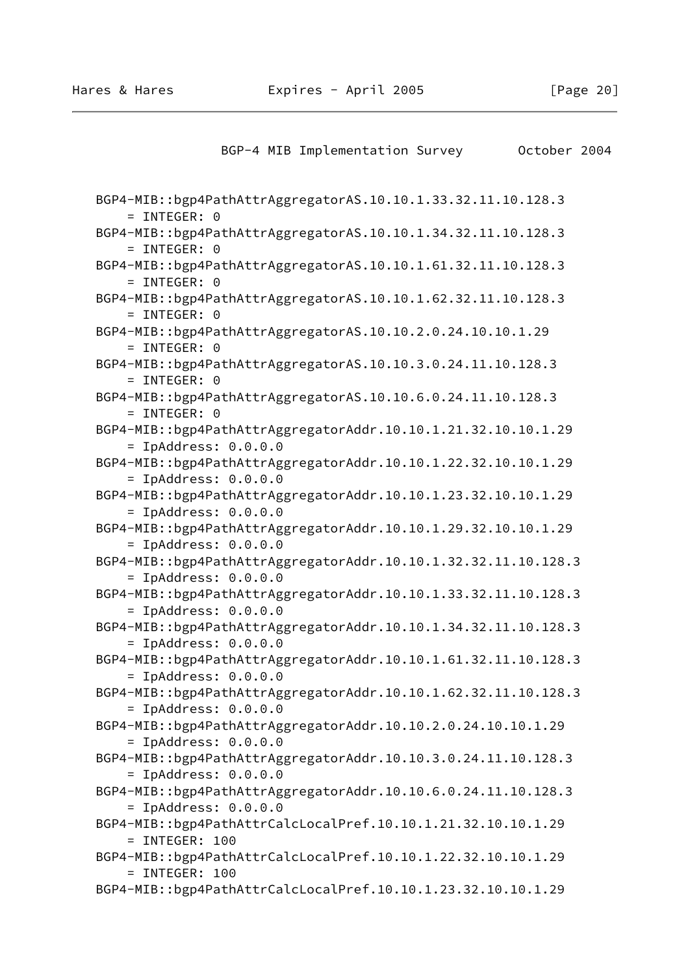```
BGP-4 MIB Implementation Survey 0ctober 2004
```
 BGP4-MIB::bgp4PathAttrAggregatorAS.10.10.1.33.32.11.10.128.3 = INTEGER: 0 BGP4-MIB::bgp4PathAttrAggregatorAS.10.10.1.34.32.11.10.128.3 = INTEGER: 0 BGP4-MIB::bgp4PathAttrAggregatorAS.10.10.1.61.32.11.10.128.3  $=$  INTEGER: 0 BGP4-MIB::bgp4PathAttrAggregatorAS.10.10.1.62.32.11.10.128.3 = INTEGER: 0 BGP4-MIB::bgp4PathAttrAggregatorAS.10.10.2.0.24.10.10.1.29 = INTEGER: 0 BGP4-MIB::bgp4PathAttrAggregatorAS.10.10.3.0.24.11.10.128.3 = INTEGER: 0 BGP4-MIB::bgp4PathAttrAggregatorAS.10.10.6.0.24.11.10.128.3 = INTEGER: 0 BGP4-MIB::bgp4PathAttrAggregatorAddr.10.10.1.21.32.10.10.1.29 = IpAddress: 0.0.0.0 BGP4-MIB::bgp4PathAttrAggregatorAddr.10.10.1.22.32.10.10.1.29 = IpAddress: 0.0.0.0 BGP4-MIB::bgp4PathAttrAggregatorAddr.10.10.1.23.32.10.10.1.29 = IpAddress: 0.0.0.0 BGP4-MIB::bgp4PathAttrAggregatorAddr.10.10.1.29.32.10.10.1.29 = IpAddress: 0.0.0.0 BGP4-MIB::bgp4PathAttrAggregatorAddr.10.10.1.32.32.11.10.128.3 = IpAddress: 0.0.0.0 BGP4-MIB::bgp4PathAttrAggregatorAddr.10.10.1.33.32.11.10.128.3 = IpAddress: 0.0.0.0 BGP4-MIB::bgp4PathAttrAggregatorAddr.10.10.1.34.32.11.10.128.3 = IpAddress: 0.0.0.0 BGP4-MIB::bgp4PathAttrAggregatorAddr.10.10.1.61.32.11.10.128.3 = IpAddress: 0.0.0.0 BGP4-MIB::bgp4PathAttrAggregatorAddr.10.10.1.62.32.11.10.128.3 = IpAddress: 0.0.0.0 BGP4-MIB::bgp4PathAttrAggregatorAddr.10.10.2.0.24.10.10.1.29 = IpAddress: 0.0.0.0 BGP4-MIB::bgp4PathAttrAggregatorAddr.10.10.3.0.24.11.10.128.3 = IpAddress: 0.0.0.0 BGP4-MIB::bgp4PathAttrAggregatorAddr.10.10.6.0.24.11.10.128.3 = IpAddress: 0.0.0.0 BGP4-MIB::bgp4PathAttrCalcLocalPref.10.10.1.21.32.10.10.1.29  $=$  INTEGER: 100 BGP4-MIB::bgp4PathAttrCalcLocalPref.10.10.1.22.32.10.10.1.29 = INTEGER: 100 BGP4-MIB::bgp4PathAttrCalcLocalPref.10.10.1.23.32.10.10.1.29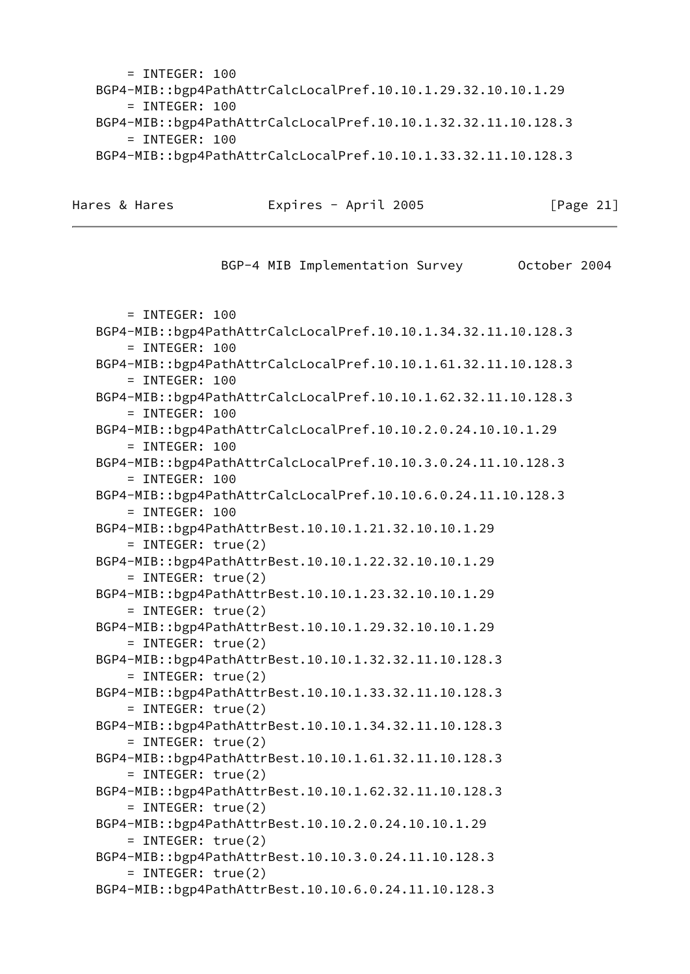$=$  INTEGER: 100 BGP4-MIB::bgp4PathAttrCalcLocalPref.10.10.1.29.32.10.10.1.29 = INTEGER: 100 BGP4-MIB::bgp4PathAttrCalcLocalPref.10.10.1.32.32.11.10.128.3 = INTEGER: 100 BGP4-MIB::bgp4PathAttrCalcLocalPref.10.10.1.33.32.11.10.128.3

Hares & Hares **Expires - April 2005** [Page 21]

BGP-4 MIB Implementation Survey 0ctober 2004 = INTEGER: 100 BGP4-MIB::bgp4PathAttrCalcLocalPref.10.10.1.34.32.11.10.128.3 = INTEGER: 100 BGP4-MIB::bgp4PathAttrCalcLocalPref.10.10.1.61.32.11.10.128.3 = INTEGER: 100 BGP4-MIB::bgp4PathAttrCalcLocalPref.10.10.1.62.32.11.10.128.3 = INTEGER: 100 BGP4-MIB::bgp4PathAttrCalcLocalPref.10.10.2.0.24.10.10.1.29  $=$  INTEGER: 100 BGP4-MIB::bgp4PathAttrCalcLocalPref.10.10.3.0.24.11.10.128.3 = INTEGER: 100 BGP4-MIB::bgp4PathAttrCalcLocalPref.10.10.6.0.24.11.10.128.3 = INTEGER: 100 BGP4-MIB::bgp4PathAttrBest.10.10.1.21.32.10.10.1.29 = INTEGER: true(2) BGP4-MIB::bgp4PathAttrBest.10.10.1.22.32.10.10.1.29 = INTEGER: true(2) BGP4-MIB::bgp4PathAttrBest.10.10.1.23.32.10.10.1.29 = INTEGER: true(2) BGP4-MIB::bgp4PathAttrBest.10.10.1.29.32.10.10.1.29 = INTEGER: true(2) BGP4-MIB::bgp4PathAttrBest.10.10.1.32.32.11.10.128.3 = INTEGER: true(2) BGP4-MIB::bgp4PathAttrBest.10.10.1.33.32.11.10.128.3 = INTEGER: true(2) BGP4-MIB::bgp4PathAttrBest.10.10.1.34.32.11.10.128.3 = INTEGER: true(2) BGP4-MIB::bgp4PathAttrBest.10.10.1.61.32.11.10.128.3 = INTEGER: true(2) BGP4-MIB::bgp4PathAttrBest.10.10.1.62.32.11.10.128.3 = INTEGER: true(2) BGP4-MIB::bgp4PathAttrBest.10.10.2.0.24.10.10.1.29 = INTEGER: true(2) BGP4-MIB::bgp4PathAttrBest.10.10.3.0.24.11.10.128.3 = INTEGER: true(2) BGP4-MIB::bgp4PathAttrBest.10.10.6.0.24.11.10.128.3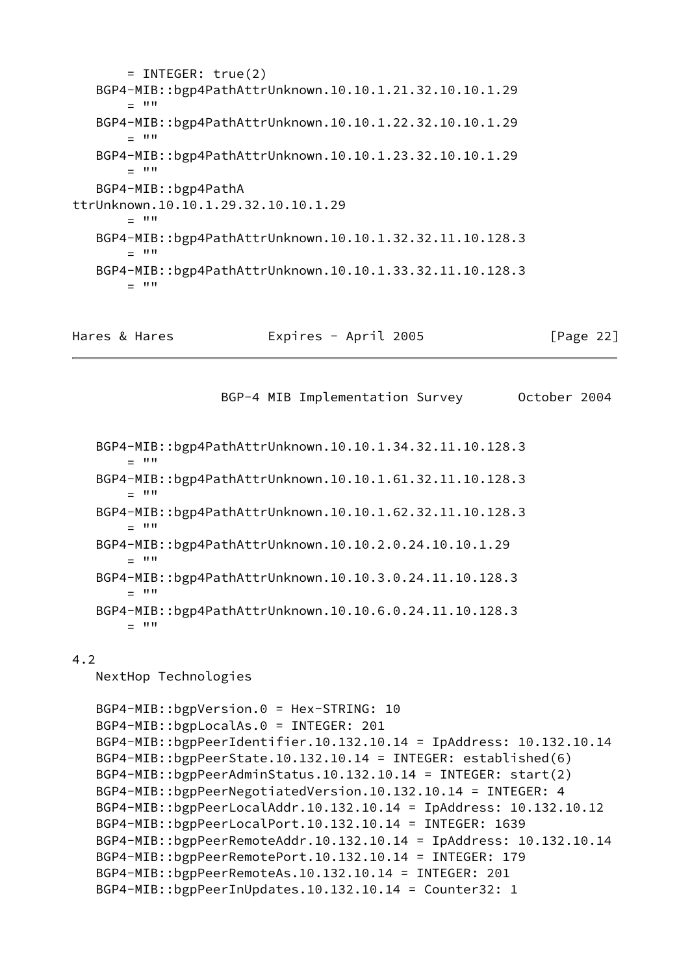= INTEGER: true(2) BGP4-MIB::bgp4PathAttrUnknown.10.10.1.21.32.10.10.1.29  $-$  """ BGP4-MIB::bgp4PathAttrUnknown.10.10.1.22.32.10.10.1.29  $=$  """ BGP4-MIB::bgp4PathAttrUnknown.10.10.1.23.32.10.10.1.29  $=$  """ BGP4-MIB::bgp4PathA ttrUnknown.10.10.1.29.32.10.10.1.29  $= 1111$  BGP4-MIB::bgp4PathAttrUnknown.10.10.1.32.32.11.10.128.3  $=$  "" BGP4-MIB::bgp4PathAttrUnknown.10.10.1.33.32.11.10.128.3  $=$  ""

```
Hares & Hares Expires - April 2005 [Page 22]
```
BGP-4 MIB Implementation Survey October 2004

 BGP4-MIB::bgp4PathAttrUnknown.10.10.1.34.32.11.10.128.3  $=$  """ BGP4-MIB::bgp4PathAttrUnknown.10.10.1.61.32.11.10.128.3  $=$  "" BGP4-MIB::bgp4PathAttrUnknown.10.10.1.62.32.11.10.128.3  $=$  """ BGP4-MIB::bgp4PathAttrUnknown.10.10.2.0.24.10.10.1.29  $-$  """ BGP4-MIB::bgp4PathAttrUnknown.10.10.3.0.24.11.10.128.3  $=$  "" BGP4-MIB::bgp4PathAttrUnknown.10.10.6.0.24.11.10.128.3  $=$  """

# 4.2

NextHop Technologies

```
 BGP4-MIB::bgpVersion.0 = Hex-STRING: 10
 BGP4-MIB::bgpLocalAs.0 = INTEGER: 201
 BGP4-MIB::bgpPeerIdentifier.10.132.10.14 = IpAddress: 10.132.10.14
 BGP4-MIB::bgpPeerState.10.132.10.14 = INTEGER: established(6)
 BGP4-MIB::bgpPeerAdminStatus.10.132.10.14 = INTEGER: start(2)
 BGP4-MIB::bgpPeerNegotiatedVersion.10.132.10.14 = INTEGER: 4
 BGP4-MIB::bgpPeerLocalAddr.10.132.10.14 = IpAddress: 10.132.10.12
 BGP4-MIB::bgpPeerLocalPort.10.132.10.14 = INTEGER: 1639
 BGP4-MIB::bgpPeerRemoteAddr.10.132.10.14 = IpAddress: 10.132.10.14
 BGP4-MIB::bgpPeerRemotePort.10.132.10.14 = INTEGER: 179
 BGP4-MIB::bgpPeerRemoteAs.10.132.10.14 = INTEGER: 201
 BGP4-MIB::bgpPeerInUpdates.10.132.10.14 = Counter32: 1
```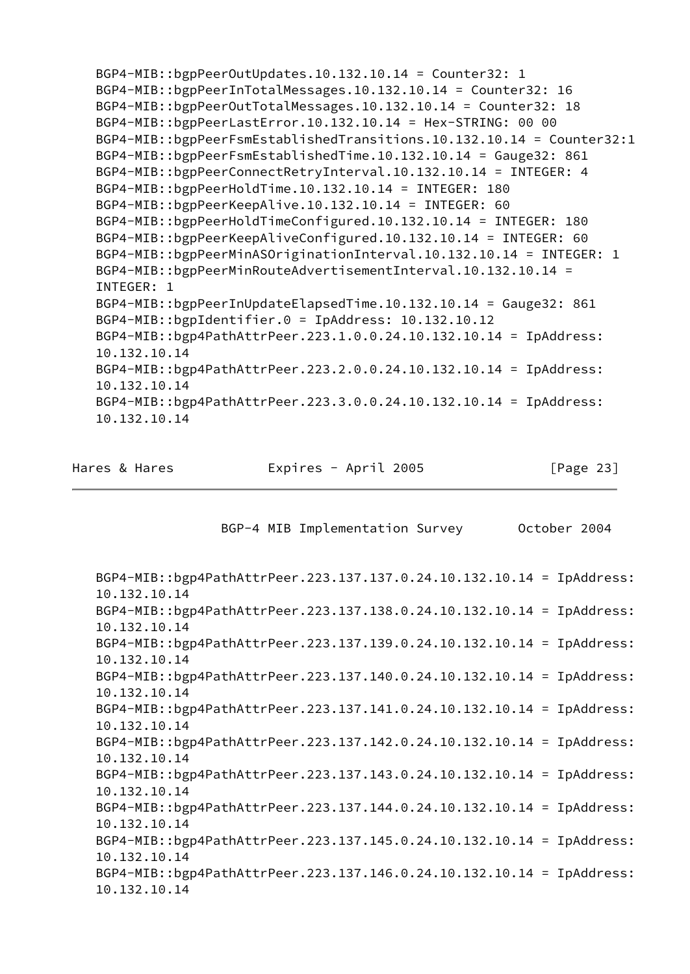BGP4-MIB::bgpPeerOutUpdates.10.132.10.14 = Counter32: 1 BGP4-MIB::bgpPeerInTotalMessages.10.132.10.14 = Counter32: 16 BGP4-MIB::bgpPeerOutTotalMessages.10.132.10.14 = Counter32: 18 BGP4-MIB::bgpPeerLastError.10.132.10.14 = Hex-STRING: 00 00 BGP4-MIB::bgpPeerFsmEstablishedTransitions.10.132.10.14 = Counter32:1 BGP4-MIB::bgpPeerFsmEstablishedTime.10.132.10.14 = Gauge32: 861 BGP4-MIB::bgpPeerConnectRetryInterval.10.132.10.14 = INTEGER: 4 BGP4-MIB::bgpPeerHoldTime.10.132.10.14 = INTEGER: 180 BGP4-MIB::bgpPeerKeepAlive.10.132.10.14 = INTEGER: 60 BGP4-MIB::bgpPeerHoldTimeConfigured.10.132.10.14 = INTEGER: 180 BGP4-MIB::bgpPeerKeepAliveConfigured.10.132.10.14 = INTEGER: 60 BGP4-MIB::bgpPeerMinASOriginationInterval.10.132.10.14 = INTEGER: 1 BGP4-MIB::bgpPeerMinRouteAdvertisementInterval.10.132.10.14 = INTEGER: 1 BGP4-MIB::bgpPeerInUpdateElapsedTime.10.132.10.14 = Gauge32: 861 BGP4-MIB::bgpIdentifier.0 = IpAddress: 10.132.10.12 BGP4-MIB::bgp4PathAttrPeer.223.1.0.0.24.10.132.10.14 = IpAddress: 10.132.10.14 BGP4-MIB::bgp4PathAttrPeer.223.2.0.0.24.10.132.10.14 = IpAddress: 10.132.10.14 BGP4-MIB::bgp4PathAttrPeer.223.3.0.0.24.10.132.10.14 = IpAddress: 10.132.10.14

Hares & Hares **Expires - April 2005** [Page 23]

BGP-4 MIB Implementation Survey 0ctober 2004

 BGP4-MIB::bgp4PathAttrPeer.223.137.137.0.24.10.132.10.14 = IpAddress: 10.132.10.14 BGP4-MIB::bgp4PathAttrPeer.223.137.138.0.24.10.132.10.14 = IpAddress: 10.132.10.14 BGP4-MIB::bgp4PathAttrPeer.223.137.139.0.24.10.132.10.14 = IpAddress: 10.132.10.14 BGP4-MIB::bgp4PathAttrPeer.223.137.140.0.24.10.132.10.14 = IpAddress: 10.132.10.14 BGP4-MIB::bgp4PathAttrPeer.223.137.141.0.24.10.132.10.14 = IpAddress: 10.132.10.14 BGP4-MIB::bgp4PathAttrPeer.223.137.142.0.24.10.132.10.14 = IpAddress: 10.132.10.14 BGP4-MIB::bgp4PathAttrPeer.223.137.143.0.24.10.132.10.14 = IpAddress: 10.132.10.14 BGP4-MIB::bgp4PathAttrPeer.223.137.144.0.24.10.132.10.14 = IpAddress: 10.132.10.14 BGP4-MIB::bgp4PathAttrPeer.223.137.145.0.24.10.132.10.14 = IpAddress: 10.132.10.14 BGP4-MIB::bgp4PathAttrPeer.223.137.146.0.24.10.132.10.14 = IpAddress: 10.132.10.14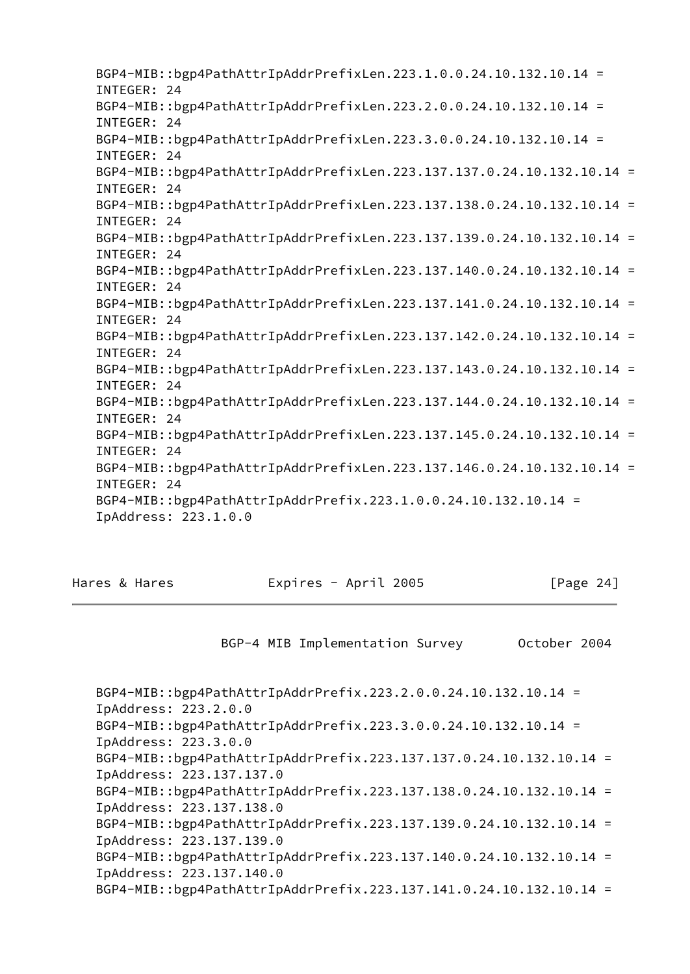BGP4-MIB::bgp4PathAttrIpAddrPrefixLen.223.1.0.0.24.10.132.10.14 = INTEGER: 24 BGP4-MIB::bgp4PathAttrIpAddrPrefixLen.223.2.0.0.24.10.132.10.14 = INTEGER: 24 BGP4-MIB::bgp4PathAttrIpAddrPrefixLen.223.3.0.0.24.10.132.10.14 = INTEGER: 24 BGP4-MIB::bgp4PathAttrIpAddrPrefixLen.223.137.137.0.24.10.132.10.14 = INTEGER: 24 BGP4-MIB::bgp4PathAttrIpAddrPrefixLen.223.137.138.0.24.10.132.10.14 = INTEGER: 24 BGP4-MIB::bgp4PathAttrIpAddrPrefixLen.223.137.139.0.24.10.132.10.14 = INTEGER: 24 BGP4-MIB::bgp4PathAttrIpAddrPrefixLen.223.137.140.0.24.10.132.10.14 = INTEGER: 24 BGP4-MIB::bgp4PathAttrIpAddrPrefixLen.223.137.141.0.24.10.132.10.14 = INTEGER: 24 BGP4-MIB::bgp4PathAttrIpAddrPrefixLen.223.137.142.0.24.10.132.10.14 = INTEGER: 24 BGP4-MIB::bgp4PathAttrIpAddrPrefixLen.223.137.143.0.24.10.132.10.14 = INTEGER: 24 BGP4-MIB::bgp4PathAttrIpAddrPrefixLen.223.137.144.0.24.10.132.10.14 = INTEGER: 24 BGP4-MIB::bgp4PathAttrIpAddrPrefixLen.223.137.145.0.24.10.132.10.14 = INTEGER: 24 BGP4-MIB::bgp4PathAttrIpAddrPrefixLen.223.137.146.0.24.10.132.10.14 = INTEGER: 24 BGP4-MIB::bgp4PathAttrIpAddrPrefix.223.1.0.0.24.10.132.10.14 = IpAddress: 223.1.0.0

Hares & Hares **Expires - April 2005** [Page 24]

BGP-4 MIB Implementation Survey October 2004

 BGP4-MIB::bgp4PathAttrIpAddrPrefix.223.2.0.0.24.10.132.10.14 = IpAddress: 223.2.0.0 BGP4-MIB::bgp4PathAttrIpAddrPrefix.223.3.0.0.24.10.132.10.14 = IpAddress: 223.3.0.0 BGP4-MIB::bgp4PathAttrIpAddrPrefix.223.137.137.0.24.10.132.10.14 = IpAddress: 223.137.137.0 BGP4-MIB::bgp4PathAttrIpAddrPrefix.223.137.138.0.24.10.132.10.14 = IpAddress: 223.137.138.0 BGP4-MIB::bgp4PathAttrIpAddrPrefix.223.137.139.0.24.10.132.10.14 = IpAddress: 223.137.139.0 BGP4-MIB::bgp4PathAttrIpAddrPrefix.223.137.140.0.24.10.132.10.14 = IpAddress: 223.137.140.0 BGP4-MIB::bgp4PathAttrIpAddrPrefix.223.137.141.0.24.10.132.10.14 =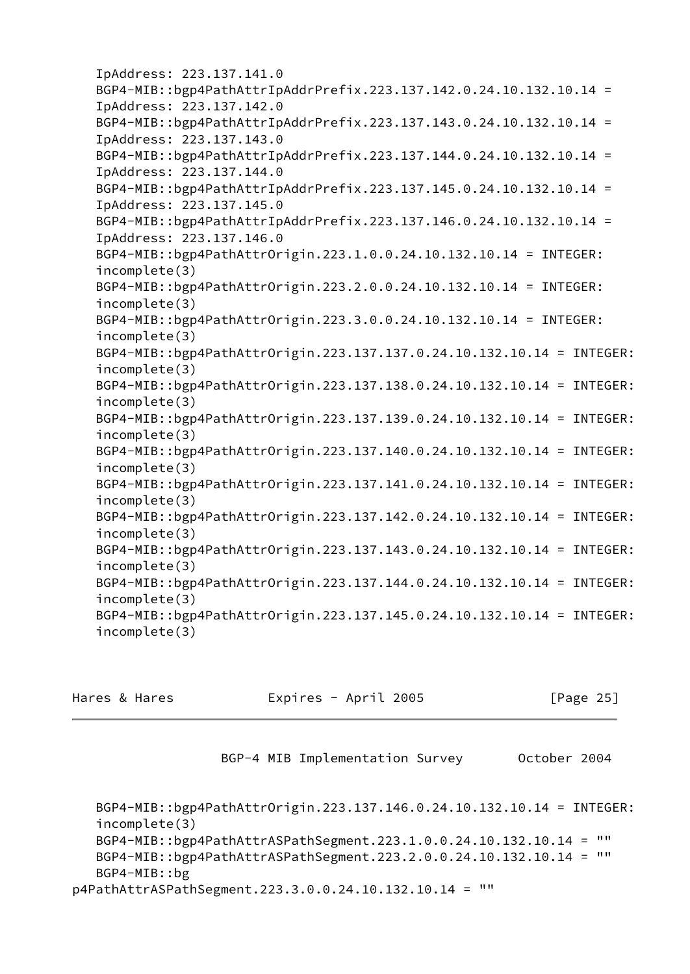```
 IpAddress: 223.137.141.0
 BGP4-MIB::bgp4PathAttrIpAddrPrefix.223.137.142.0.24.10.132.10.14 =
 IpAddress: 223.137.142.0
 BGP4-MIB::bgp4PathAttrIpAddrPrefix.223.137.143.0.24.10.132.10.14 =
 IpAddress: 223.137.143.0
 BGP4-MIB::bgp4PathAttrIpAddrPrefix.223.137.144.0.24.10.132.10.14 =
 IpAddress: 223.137.144.0
 BGP4-MIB::bgp4PathAttrIpAddrPrefix.223.137.145.0.24.10.132.10.14 =
 IpAddress: 223.137.145.0
 BGP4-MIB::bgp4PathAttrIpAddrPrefix.223.137.146.0.24.10.132.10.14 =
 IpAddress: 223.137.146.0
 BGP4-MIB::bgp4PathAttrOrigin.223.1.0.0.24.10.132.10.14 = INTEGER:
 incomplete(3)
 BGP4-MIB::bgp4PathAttrOrigin.223.2.0.0.24.10.132.10.14 = INTEGER:
 incomplete(3)
 BGP4-MIB::bgp4PathAttrOrigin.223.3.0.0.24.10.132.10.14 = INTEGER:
 incomplete(3)
 BGP4-MIB::bgp4PathAttrOrigin.223.137.137.0.24.10.132.10.14 = INTEGER:
 incomplete(3)
 BGP4-MIB::bgp4PathAttrOrigin.223.137.138.0.24.10.132.10.14 = INTEGER:
 incomplete(3)
 BGP4-MIB::bgp4PathAttrOrigin.223.137.139.0.24.10.132.10.14 = INTEGER:
 incomplete(3)
 BGP4-MIB::bgp4PathAttrOrigin.223.137.140.0.24.10.132.10.14 = INTEGER:
 incomplete(3)
 BGP4-MIB::bgp4PathAttrOrigin.223.137.141.0.24.10.132.10.14 = INTEGER:
 incomplete(3)
 BGP4-MIB::bgp4PathAttrOrigin.223.137.142.0.24.10.132.10.14 = INTEGER:
 incomplete(3)
 BGP4-MIB::bgp4PathAttrOrigin.223.137.143.0.24.10.132.10.14 = INTEGER:
 incomplete(3)
 BGP4-MIB::bgp4PathAttrOrigin.223.137.144.0.24.10.132.10.14 = INTEGER:
 incomplete(3)
 BGP4-MIB::bgp4PathAttrOrigin.223.137.145.0.24.10.132.10.14 = INTEGER:
 incomplete(3)
```
Hares & Hares Expires - April 2005 [Page 25]

BGP-4 MIB Implementation Survey 0ctober 2004

```
 BGP4-MIB::bgp4PathAttrOrigin.223.137.146.0.24.10.132.10.14 = INTEGER:
    incomplete(3)
   BGP4-MIB::bgp4PathAttrASPathSegment.223.1.0.0.24.10.132.10.14 = ""
   BGP4-MIB::bgp4PathAttrASPathSegment.223.2.0.0.24.10.132.10.14 = ""
    BGP4-MIB::bg
p4PathAttrASPathSegment.223.3.0.0.24.10.132.10.14 = ""
```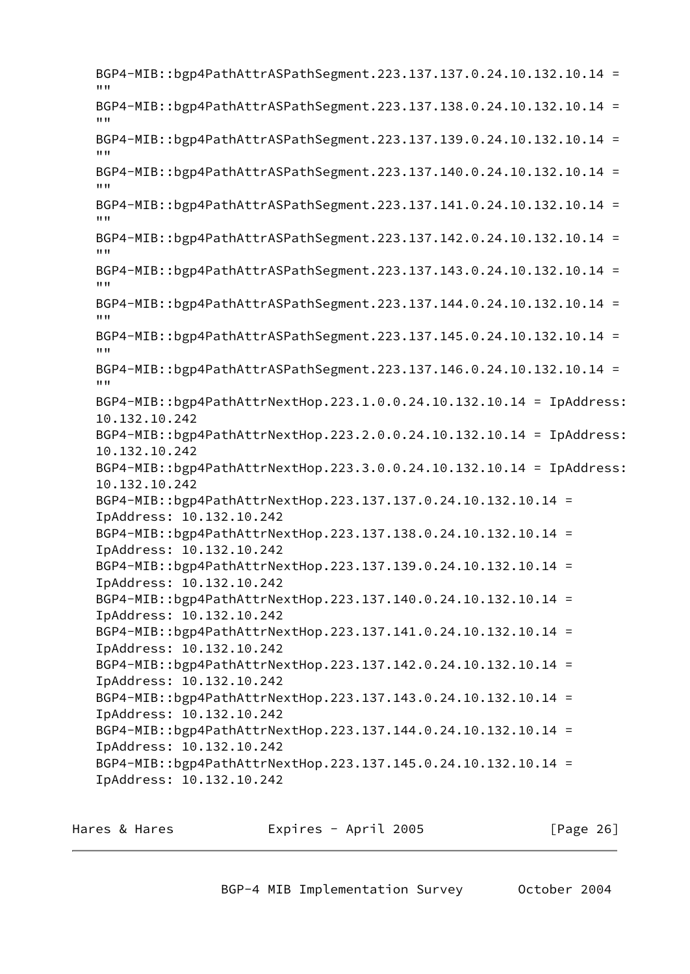BGP4-MIB::bgp4PathAttrASPathSegment.223.137.137.0.24.10.132.10.14 = """ BGP4-MIB::bgp4PathAttrASPathSegment.223.137.138.0.24.10.132.10.14 =  $"''"$  BGP4-MIB::bgp4PathAttrASPathSegment.223.137.139.0.24.10.132.10.14 = """ BGP4-MIB::bgp4PathAttrASPathSegment.223.137.140.0.24.10.132.10.14 =  $"''"$  BGP4-MIB::bgp4PathAttrASPathSegment.223.137.141.0.24.10.132.10.14 = "" BGP4-MIB::bgp4PathAttrASPathSegment.223.137.142.0.24.10.132.10.14 =  $^{\prime\prime\prime\prime}$  BGP4-MIB::bgp4PathAttrASPathSegment.223.137.143.0.24.10.132.10.14 = """ BGP4-MIB::bgp4PathAttrASPathSegment.223.137.144.0.24.10.132.10.14 =  $"''"$  BGP4-MIB::bgp4PathAttrASPathSegment.223.137.145.0.24.10.132.10.14 = """ BGP4-MIB::bgp4PathAttrASPathSegment.223.137.146.0.24.10.132.10.14 =  $"''"$  BGP4-MIB::bgp4PathAttrNextHop.223.1.0.0.24.10.132.10.14 = IpAddress: 10.132.10.242 BGP4-MIB::bgp4PathAttrNextHop.223.2.0.0.24.10.132.10.14 = IpAddress: 10.132.10.242 BGP4-MIB::bgp4PathAttrNextHop.223.3.0.0.24.10.132.10.14 = IpAddress: 10.132.10.242 BGP4-MIB::bgp4PathAttrNextHop.223.137.137.0.24.10.132.10.14 = IpAddress: 10.132.10.242 BGP4-MIB::bgp4PathAttrNextHop.223.137.138.0.24.10.132.10.14 = IpAddress: 10.132.10.242 BGP4-MIB::bgp4PathAttrNextHop.223.137.139.0.24.10.132.10.14 = IpAddress: 10.132.10.242 BGP4-MIB::bgp4PathAttrNextHop.223.137.140.0.24.10.132.10.14 = IpAddress: 10.132.10.242 BGP4-MIB::bgp4PathAttrNextHop.223.137.141.0.24.10.132.10.14 = IpAddress: 10.132.10.242 BGP4-MIB::bgp4PathAttrNextHop.223.137.142.0.24.10.132.10.14 = IpAddress: 10.132.10.242 BGP4-MIB::bgp4PathAttrNextHop.223.137.143.0.24.10.132.10.14 = IpAddress: 10.132.10.242 BGP4-MIB::bgp4PathAttrNextHop.223.137.144.0.24.10.132.10.14 = IpAddress: 10.132.10.242 BGP4-MIB::bgp4PathAttrNextHop.223.137.145.0.24.10.132.10.14 = IpAddress: 10.132.10.242

Hares & Hares Expires - April 2005 [Page 26]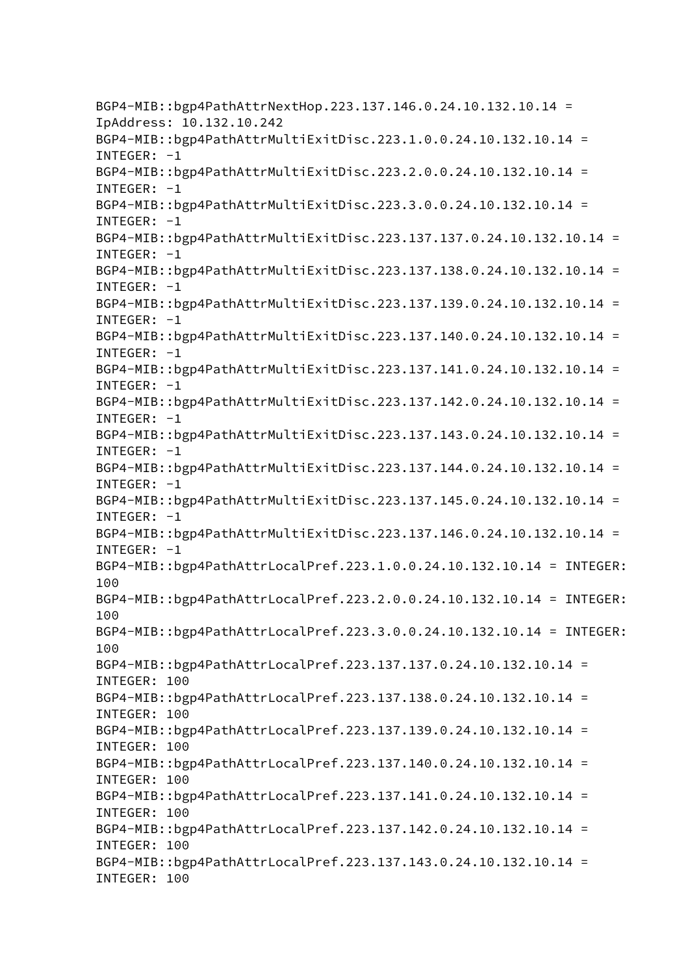BGP4-MIB::bgp4PathAttrNextHop.223.137.146.0.24.10.132.10.14 = IpAddress: 10.132.10.242 BGP4-MIB::bgp4PathAttrMultiExitDisc.223.1.0.0.24.10.132.10.14 = INTEGER: -1 BGP4-MIB::bgp4PathAttrMultiExitDisc.223.2.0.0.24.10.132.10.14 = INTEGER:  $-1$  BGP4-MIB::bgp4PathAttrMultiExitDisc.223.3.0.0.24.10.132.10.14 = INTEGER:  $-1$  BGP4-MIB::bgp4PathAttrMultiExitDisc.223.137.137.0.24.10.132.10.14 =  $INTEGR: -1$  BGP4-MIB::bgp4PathAttrMultiExitDisc.223.137.138.0.24.10.132.10.14 = INTEGER:  $-1$  BGP4-MIB::bgp4PathAttrMultiExitDisc.223.137.139.0.24.10.132.10.14 =  $INTEGR: -1$  BGP4-MIB::bgp4PathAttrMultiExitDisc.223.137.140.0.24.10.132.10.14 =  $INTEGR: -1$  BGP4-MIB::bgp4PathAttrMultiExitDisc.223.137.141.0.24.10.132.10.14 = INTEGER: -1 BGP4-MIB::bgp4PathAttrMultiExitDisc.223.137.142.0.24.10.132.10.14 = INTEGER: -1 BGP4-MIB::bgp4PathAttrMultiExitDisc.223.137.143.0.24.10.132.10.14 = INTEGER: -1 BGP4-MIB::bgp4PathAttrMultiExitDisc.223.137.144.0.24.10.132.10.14 = INTEGER: -1 BGP4-MIB::bgp4PathAttrMultiExitDisc.223.137.145.0.24.10.132.10.14 = INTEGER: -1 BGP4-MIB::bgp4PathAttrMultiExitDisc.223.137.146.0.24.10.132.10.14 = INTEGER: -1 BGP4-MIB::bgp4PathAttrLocalPref.223.1.0.0.24.10.132.10.14 = INTEGER: 100 BGP4-MIB::bgp4PathAttrLocalPref.223.2.0.0.24.10.132.10.14 = INTEGER: 100 BGP4-MIB::bgp4PathAttrLocalPref.223.3.0.0.24.10.132.10.14 = INTEGER: 100 BGP4-MIB::bgp4PathAttrLocalPref.223.137.137.0.24.10.132.10.14 = INTEGER: 100 BGP4-MIB::bgp4PathAttrLocalPref.223.137.138.0.24.10.132.10.14 = INTEGER: 100 BGP4-MIB::bgp4PathAttrLocalPref.223.137.139.0.24.10.132.10.14 = INTEGER: 100 BGP4-MIB::bgp4PathAttrLocalPref.223.137.140.0.24.10.132.10.14 = INTEGER: 100 BGP4-MIB::bgp4PathAttrLocalPref.223.137.141.0.24.10.132.10.14 = INTEGER: 100 BGP4-MIB::bgp4PathAttrLocalPref.223.137.142.0.24.10.132.10.14 = INTEGER: 100 BGP4-MIB::bgp4PathAttrLocalPref.223.137.143.0.24.10.132.10.14 = INTEGER: 100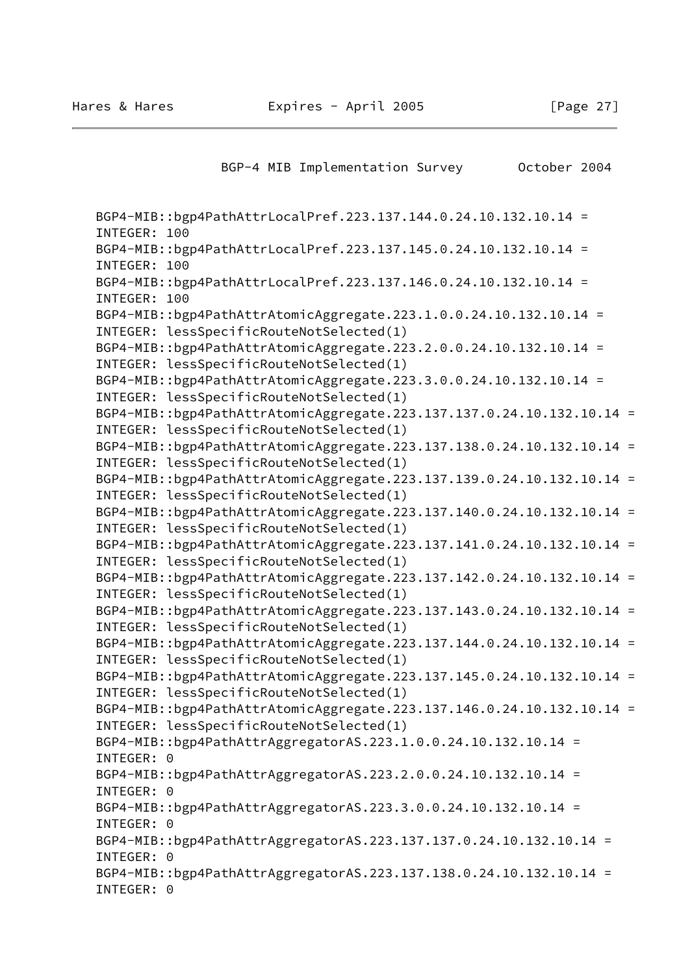| BGP-4 MIB Implementation Survey                                                                                   | October 2004 |
|-------------------------------------------------------------------------------------------------------------------|--------------|
|                                                                                                                   |              |
| BGP4-MIB::bgp4PathAttrLocalPref.223.137.144.0.24.10.132.10.14 =<br>INTEGER: 100                                   |              |
| BGP4-MIB::bgp4PathAttrLocalPref.223.137.145.0.24.10.132.10.14 =<br>INTEGER: 100                                   |              |
| BGP4-MIB::bgp4PathAttrLocalPref.223.137.146.0.24.10.132.10.14 =                                                   |              |
| INTEGER: 100<br>BGP4-MIB::bgp4PathAttrAtomicAggregate.223.1.0.0.24.10.132.10.14 =                                 |              |
| INTEGER: lessSpecificRouteNotSelected(1)                                                                          |              |
| BGP4-MIB::bgp4PathAttrAtomicAggregate.223.2.0.0.24.10.132.10.14 =                                                 |              |
| INTEGER: lessSpecificRouteNotSelected(1)                                                                          |              |
| BGP4-MIB::bgp4PathAttrAtomicAggregate.223.3.0.0.24.10.132.10.14 =                                                 |              |
| INTEGER: lessSpecificRouteNotSelected(1)                                                                          |              |
| BGP4-MIB::bgp4PathAttrAtomicAggregate.223.137.137.0.24.10.132.10.14 =                                             |              |
| INTEGER: lessSpecificRouteNotSelected(1)<br>BGP4-MIB::bgp4PathAttrAtomicAggregate.223.137.138.0.24.10.132.10.14 = |              |
| INTEGER: lessSpecificRouteNotSelected(1)                                                                          |              |
| BGP4-MIB::bgp4PathAttrAtomicAggregate.223.137.139.0.24.10.132.10.14 =                                             |              |
| INTEGER: lessSpecificRouteNotSelected(1)                                                                          |              |
| BGP4-MIB::bgp4PathAttrAtomicAggregate.223.137.140.0.24.10.132.10.14 =                                             |              |
| INTEGER: lessSpecificRouteNotSelected(1)                                                                          |              |
| BGP4-MIB::bgp4PathAttrAtomicAggregate.223.137.141.0.24.10.132.10.14 =                                             |              |
| INTEGER: lessSpecificRouteNotSelected(1)                                                                          |              |
| BGP4-MIB::bgp4PathAttrAtomicAggregate.223.137.142.0.24.10.132.10.14 =                                             |              |
| INTEGER: lessSpecificRouteNotSelected(1)<br>BGP4-MIB::bgp4PathAttrAtomicAggregate.223.137.143.0.24.10.132.10.14 = |              |
| INTEGER: lessSpecificRouteNotSelected(1)                                                                          |              |
| BGP4-MIB::bgp4PathAttrAtomicAggregate.223.137.144.0.24.10.132.10.14 =                                             |              |
| INTEGER: lessSpecificRouteNotSelected(1)                                                                          |              |
| BGP4-MIB::bgp4PathAttrAtomicAggregate.223.137.145.0.24.10.132.10.14 =                                             |              |
| INTEGER: lessSpecificRouteNotSelected(1)                                                                          |              |
| BGP4-MIB::bgp4PathAttrAtomicAggregate.223.137.146.0.24.10.132.10.14 =                                             |              |
| INTEGER: lessSpecificRouteNotSelected(1)                                                                          |              |
| BGP4-MIB::bgp4PathAttrAggregatorAS.223.1.0.0.24.10.132.10.14 =                                                    |              |
| INTEGER: 0                                                                                                        |              |
| BGP4-MIB::bgp4PathAttrAggregatorAS.223.2.0.0.24.10.132.10.14 =<br>INTEGER: 0                                      |              |
| BGP4-MIB::bgp4PathAttrAggregatorAS.223.3.0.0.24.10.132.10.14 =                                                    |              |
| INTEGER: 0                                                                                                        |              |
| BGP4-MIB::bgp4PathAttrAggregatorAS.223.137.137.0.24.10.132.10.14 =                                                |              |
| INTEGER: 0                                                                                                        |              |
| BGP4-MIB::bgp4PathAttrAggregatorAS.223.137.138.0.24.10.132.10.14 =                                                |              |
| INTEGER: 0                                                                                                        |              |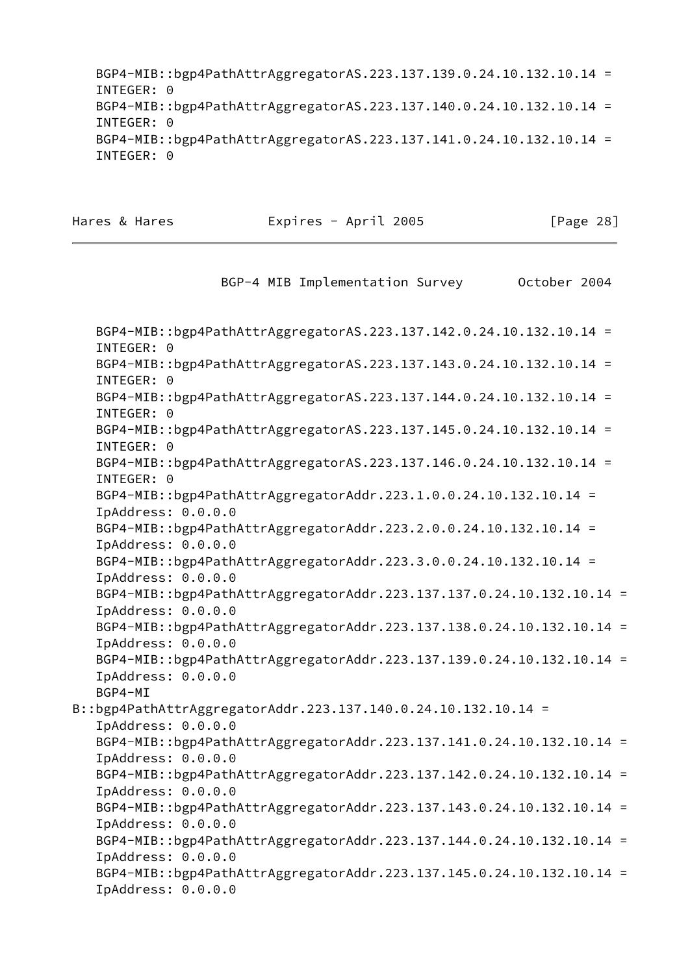BGP4-MIB::bgp4PathAttrAggregatorAS.223.137.139.0.24.10.132.10.14 = INTEGER: 0 BGP4-MIB::bgp4PathAttrAggregatorAS.223.137.140.0.24.10.132.10.14 = INTEGER: 0 BGP4-MIB::bgp4PathAttrAggregatorAS.223.137.141.0.24.10.132.10.14 = INTEGER: 0

Hares & Hares **Expires - April 2005** [Page 28]

BGP-4 MIB Implementation Survey October 2004

 BGP4-MIB::bgp4PathAttrAggregatorAS.223.137.142.0.24.10.132.10.14 = INTEGER: 0 BGP4-MIB::bgp4PathAttrAggregatorAS.223.137.143.0.24.10.132.10.14 = INTEGER: 0 BGP4-MIB::bgp4PathAttrAggregatorAS.223.137.144.0.24.10.132.10.14 = INTEGER: 0 BGP4-MIB::bgp4PathAttrAggregatorAS.223.137.145.0.24.10.132.10.14 = INTEGER: 0 BGP4-MIB::bgp4PathAttrAggregatorAS.223.137.146.0.24.10.132.10.14 = INTEGER: 0 BGP4-MIB::bgp4PathAttrAggregatorAddr.223.1.0.0.24.10.132.10.14 = IpAddress: 0.0.0.0 BGP4-MIB::bgp4PathAttrAggregatorAddr.223.2.0.0.24.10.132.10.14 = IpAddress: 0.0.0.0 BGP4-MIB::bgp4PathAttrAggregatorAddr.223.3.0.0.24.10.132.10.14 = IpAddress: 0.0.0.0 BGP4-MIB::bgp4PathAttrAggregatorAddr.223.137.137.0.24.10.132.10.14 = IpAddress: 0.0.0.0 BGP4-MIB::bgp4PathAttrAggregatorAddr.223.137.138.0.24.10.132.10.14 = IpAddress: 0.0.0.0 BGP4-MIB::bgp4PathAttrAggregatorAddr.223.137.139.0.24.10.132.10.14 = IpAddress: 0.0.0.0 BGP4-MI B::bgp4PathAttrAggregatorAddr.223.137.140.0.24.10.132.10.14 = IpAddress: 0.0.0.0 BGP4-MIB::bgp4PathAttrAggregatorAddr.223.137.141.0.24.10.132.10.14 = IpAddress: 0.0.0.0 BGP4-MIB::bgp4PathAttrAggregatorAddr.223.137.142.0.24.10.132.10.14 = IpAddress: 0.0.0.0 BGP4-MIB::bgp4PathAttrAggregatorAddr.223.137.143.0.24.10.132.10.14 = IpAddress: 0.0.0.0 BGP4-MIB::bgp4PathAttrAggregatorAddr.223.137.144.0.24.10.132.10.14 = IpAddress: 0.0.0.0 BGP4-MIB::bgp4PathAttrAggregatorAddr.223.137.145.0.24.10.132.10.14 = IpAddress: 0.0.0.0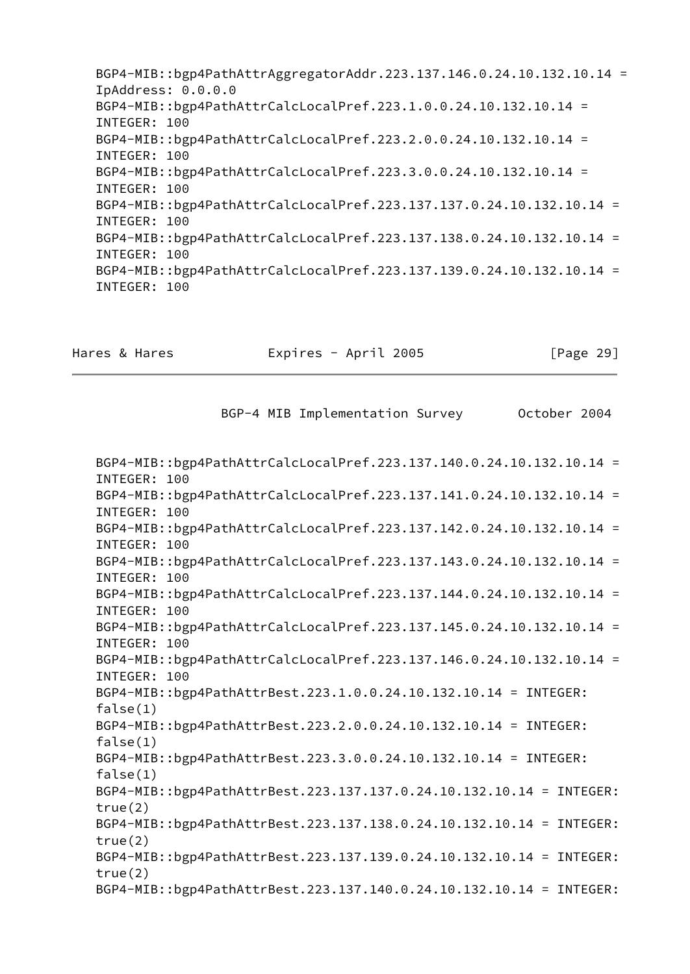BGP4-MIB::bgp4PathAttrAggregatorAddr.223.137.146.0.24.10.132.10.14 = IpAddress: 0.0.0.0 BGP4-MIB::bgp4PathAttrCalcLocalPref.223.1.0.0.24.10.132.10.14 = INTEGER: 100 BGP4-MIB::bgp4PathAttrCalcLocalPref.223.2.0.0.24.10.132.10.14 = INTEGER: 100 BGP4-MIB::bgp4PathAttrCalcLocalPref.223.3.0.0.24.10.132.10.14 = INTEGER: 100 BGP4-MIB::bgp4PathAttrCalcLocalPref.223.137.137.0.24.10.132.10.14 = INTEGER: 100 BGP4-MIB::bgp4PathAttrCalcLocalPref.223.137.138.0.24.10.132.10.14 = INTEGER: 100 BGP4-MIB::bgp4PathAttrCalcLocalPref.223.137.139.0.24.10.132.10.14 = INTEGER: 100

Hares & Hares **Expires - April 2005** [Page 29]

BGP-4 MIB Implementation Survey 0ctober 2004

 BGP4-MIB::bgp4PathAttrCalcLocalPref.223.137.140.0.24.10.132.10.14 = INTEGER: 100 BGP4-MIB::bgp4PathAttrCalcLocalPref.223.137.141.0.24.10.132.10.14 = INTEGER: 100 BGP4-MIB::bgp4PathAttrCalcLocalPref.223.137.142.0.24.10.132.10.14 = INTEGER: 100 BGP4-MIB::bgp4PathAttrCalcLocalPref.223.137.143.0.24.10.132.10.14 = INTEGER: 100 BGP4-MIB::bgp4PathAttrCalcLocalPref.223.137.144.0.24.10.132.10.14 = INTEGER: 100 BGP4-MIB::bgp4PathAttrCalcLocalPref.223.137.145.0.24.10.132.10.14 = INTEGER: 100 BGP4-MIB::bgp4PathAttrCalcLocalPref.223.137.146.0.24.10.132.10.14 = INTEGER: 100 BGP4-MIB::bgp4PathAttrBest.223.1.0.0.24.10.132.10.14 = INTEGER: false(1) BGP4-MIB::bgp4PathAttrBest.223.2.0.0.24.10.132.10.14 = INTEGER: false(1) BGP4-MIB::bgp4PathAttrBest.223.3.0.0.24.10.132.10.14 = INTEGER: false(1) BGP4-MIB::bgp4PathAttrBest.223.137.137.0.24.10.132.10.14 = INTEGER: true(2) BGP4-MIB::bgp4PathAttrBest.223.137.138.0.24.10.132.10.14 = INTEGER: true(2) BGP4-MIB::bgp4PathAttrBest.223.137.139.0.24.10.132.10.14 = INTEGER: true(2) BGP4-MIB::bgp4PathAttrBest.223.137.140.0.24.10.132.10.14 = INTEGER: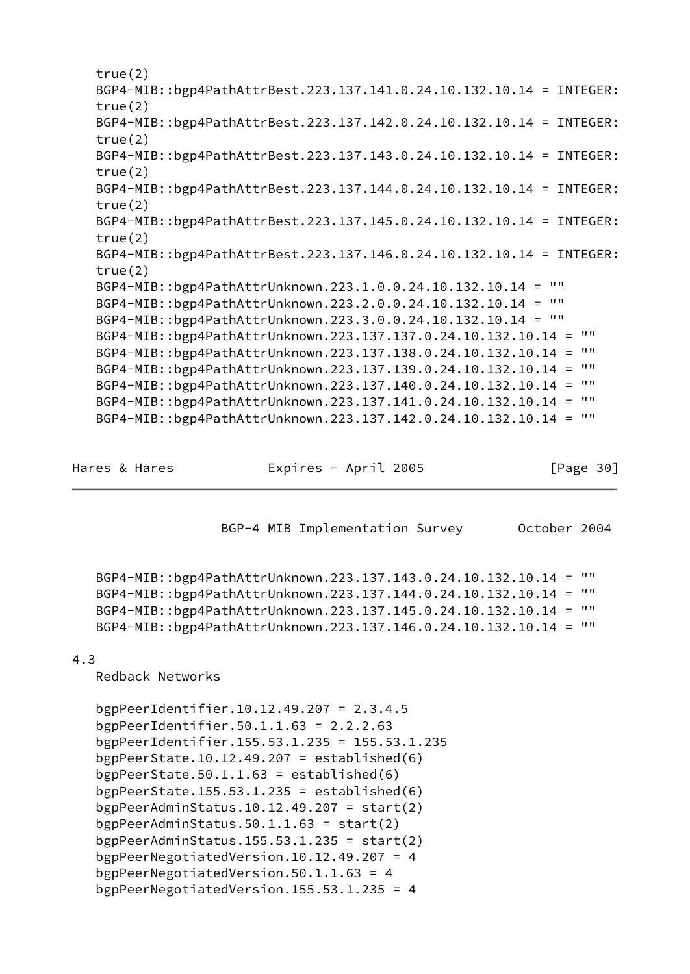```
 true(2)
 BGP4-MIB::bgp4PathAttrBest.223.137.141.0.24.10.132.10.14 = INTEGER:
 true(2)
 BGP4-MIB::bgp4PathAttrBest.223.137.142.0.24.10.132.10.14 = INTEGER:
 true(2)
 BGP4-MIB::bgp4PathAttrBest.223.137.143.0.24.10.132.10.14 = INTEGER:
 true(2)
 BGP4-MIB::bgp4PathAttrBest.223.137.144.0.24.10.132.10.14 = INTEGER:
 true(2)
 BGP4-MIB::bgp4PathAttrBest.223.137.145.0.24.10.132.10.14 = INTEGER:
 true(2)
 BGP4-MIB::bgp4PathAttrBest.223.137.146.0.24.10.132.10.14 = INTEGER:
 true(2)
 BGP4-MIB::bgp4PathAttrUnknown.223.1.0.0.24.10.132.10.14 = ""
 BGP4-MIB::bgp4PathAttrUnknown.223.2.0.0.24.10.132.10.14 = ""
 BGP4-MIB::bgp4PathAttrUnknown.223.3.0.0.24.10.132.10.14 = ""
 BGP4-MIB::bgp4PathAttrUnknown.223.137.137.0.24.10.132.10.14 = ""
 BGP4-MIB::bgp4PathAttrUnknown.223.137.138.0.24.10.132.10.14 = ""
 BGP4-MIB::bgp4PathAttrUnknown.223.137.139.0.24.10.132.10.14 = ""
 BGP4-MIB::bgp4PathAttrUnknown.223.137.140.0.24.10.132.10.14 = ""
 BGP4-MIB::bgp4PathAttrUnknown.223.137.141.0.24.10.132.10.14 = ""
 BGP4-MIB::bgp4PathAttrUnknown.223.137.142.0.24.10.132.10.14 = ""
```
<span id="page-34-0"></span>

Hares & Hares **Expires - April 2005** [Page 30]

BGP-4 MIB Implementation Survey 0ctober 2004

```
 BGP4-MIB::bgp4PathAttrUnknown.223.137.143.0.24.10.132.10.14 = ""
 BGP4-MIB::bgp4PathAttrUnknown.223.137.144.0.24.10.132.10.14 = ""
 BGP4-MIB::bgp4PathAttrUnknown.223.137.145.0.24.10.132.10.14 = ""
 BGP4-MIB::bgp4PathAttrUnknown.223.137.146.0.24.10.132.10.14 = ""
```
# 4.3

Redback Networks

 bgpPeerIdentifier.10.12.49.207 = 2.3.4.5 bgpPeerIdentifier.50.1.1.63 = 2.2.2.63 bgpPeerIdentifier.155.53.1.235 = 155.53.1.235 bgpPeerState.10.12.49.207 = established $(6)$ bgpPeerState.50.1.1.63 = established $(6)$ bgpPeerState.155.53.1.235 = established $(6)$ bgpPeerAdminStatus.10.12.49.207 = start $(2)$  bgpPeerAdminStatus.50.1.1.63 = start(2) bgpPeerAdminStatus.155.53.1.235 = start $(2)$  bgpPeerNegotiatedVersion.10.12.49.207 = 4 bgpPeerNegotiatedVersion.50.1.1.63 = 4 bgpPeerNegotiatedVersion.155.53.1.235 = 4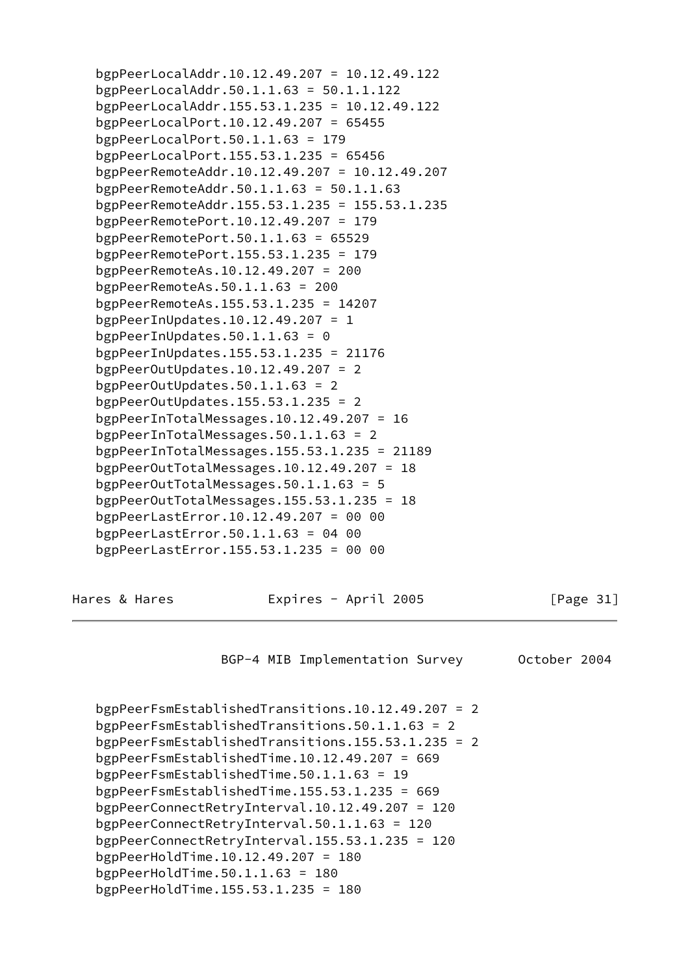bgpPeerLocalAddr.10.12.49.207 = 10.12.49.122 bgpPeerLocalAddr.50.1.1.63 = 50.1.1.122 bgpPeerLocalAddr.155.53.1.235 = 10.12.49.122 bgpPeerLocalPort.10.12.49.207 = 65455 bgpPeerLocalPort.50.1.1.63 =  $179$  bgpPeerLocalPort.155.53.1.235 = 65456 bgpPeerRemoteAddr.10.12.49.207 = 10.12.49.207 bgpPeerRemoteAddr.50.1.1.63 = 50.1.1.63 bgpPeerRemoteAddr.155.53.1.235 = 155.53.1.235 bgpPeerRemotePort.10.12.49.207 = 179 bgpPeerRemotePort.50.1.1.63 = 65529 bgpPeerRemotePort.155.53.1.235 = 179 bgpPeerRemoteAs.10.12.49.207 = 200 bgpPeerRemoteAs.50.1.1.63 = 200 bgpPeerRemoteAs.155.53.1.235 = 14207 bgpPeerInUpdates.10.12.49.207 = 1 bgpPeerInUpdates.50.1.1.63 =  $0$  bgpPeerInUpdates.155.53.1.235 = 21176 bgpPeerOutUpdates.10.12.49.207 = 2 bgpPeerOutUpdates.50.1.1.63 = 2 bgpPeerOutUpdates.155.53.1.235 = 2 bgpPeerInTotalMessages.10.12.49.207 = 16 bgpPeerInTotalMessages.50.1.1.63 = 2 bgpPeerInTotalMessages.155.53.1.235 = 21189 bgpPeerOutTotalMessages.10.12.49.207 = 18 bgpPeerOutTotalMessages.50.1.1.63 = 5 bgpPeerOutTotalMessages.155.53.1.235 = 18 bgpPeerLastError.10.12.49.207 = 00 00 bgpPeerLastError.50.1.1.63 = 04 00 bgpPeerLastError.155.53.1.235 = 00 00 Hares & Hares **Expires - April 2005** [Page 31] BGP-4 MIB Implementation Survey October 2004 bgpPeerFsmEstablishedTransitions.10.12.49.207 = 2 bgpPeerFsmEstablishedTransitions.50.1.1.63 = 2 bgpPeerFsmEstablishedTransitions.155.53.1.235 = 2 bgpPeerFsmEstablishedTime.10.12.49.207 = 669 bgpPeerFsmEstablishedTime.50.1.1.63 = 19 bgpPeerFsmEstablishedTime.155.53.1.235 = 669 bgpPeerConnectRetryInterval.10.12.49.207 = 120 bgpPeerConnectRetryInterval.50.1.1.63 = 120 bgpPeerConnectRetryInterval.155.53.1.235 = 120 bgpPeerHoldTime.10.12.49.207 = 180 bgpPeerHoldTime.50.1.1.63 =  $180$ 

bgpPeerHoldTime.155.53.1.235 = 180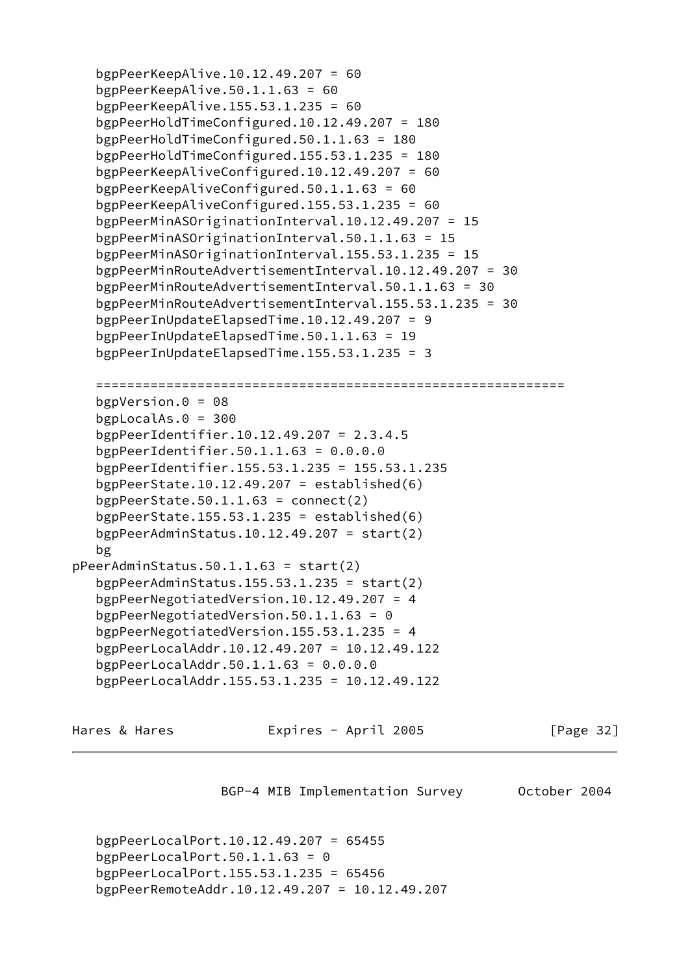```
 bgpPeerKeepAlive.10.12.49.207 = 60
    bgpPeerKeepAlive.50.1.1.63 = 60
    bgpPeerKeepAlive.155.53.1.235 = 60
    bgpPeerHoldTimeConfigured.10.12.49.207 = 180
    bgpPeerHoldTimeConfigured.50.1.1.63 = 180
    bgpPeerHoldTimeConfigured.155.53.1.235 = 180
    bgpPeerKeepAliveConfigured.10.12.49.207 = 60
    bgpPeerKeepAliveConfigured.50.1.1.63 = 60
    bgpPeerKeepAliveConfigured.155.53.1.235 = 60
    bgpPeerMinASOriginationInterval.10.12.49.207 = 15
    bgpPeerMinASOriginationInterval.50.1.1.63 = 15
    bgpPeerMinASOriginationInterval.155.53.1.235 = 15
    bgpPeerMinRouteAdvertisementInterval.10.12.49.207 = 30
    bgpPeerMinRouteAdvertisementInterval.50.1.1.63 = 30
    bgpPeerMinRouteAdvertisementInterval.155.53.1.235 = 30
    bgpPeerInUpdateElapsedTime.10.12.49.207 = 9
    bgpPeerInUpdateElapsedTime.50.1.1.63 = 19
    bgpPeerInUpdateElapsedTime.155.53.1.235 = 3
    ============================================================
    bgpVersion.0 = 08
    bgpLocalAs.0 = 300
    bgpPeerIdentifier.10.12.49.207 = 2.3.4.5
    bgpPeerIdentifier.50.1.1.63 = 0.0.0.0
    bgpPeerIdentifier.155.53.1.235 = 155.53.1.235
   bgpPeerState.10.12.49.207 = established(6)bgpPeerState.50.1.1.63 = connect(2)bgpPeerState.155.53.1.235 = established(6) bgpPeerAdminStatus.10.12.49.207 = start(2)
    bg
pPeerAdminStatus.50.1.1.63 = start(2)
   bgpPeerAdminStatus.155.53.1.235 = start(2) bgpPeerNegotiatedVersion.10.12.49.207 = 4
    bgpPeerNegotiatedVersion.50.1.1.63 = 0
    bgpPeerNegotiatedVersion.155.53.1.235 = 4
    bgpPeerLocalAddr.10.12.49.207 = 10.12.49.122
    bgpPeerLocalAddr.50.1.1.63 = 0.0.0.0
    bgpPeerLocalAddr.155.53.1.235 = 10.12.49.122
Hares & Hares Expires - April 2005 [Page 32]
```
BGP-4 MIB Implementation Survey 0ctober 2004

 bgpPeerLocalPort.10.12.49.207 = 65455 bgpPeerLocalPort.50.1.1.63 =  $\theta$  bgpPeerLocalPort.155.53.1.235 = 65456 bgpPeerRemoteAddr.10.12.49.207 = 10.12.49.207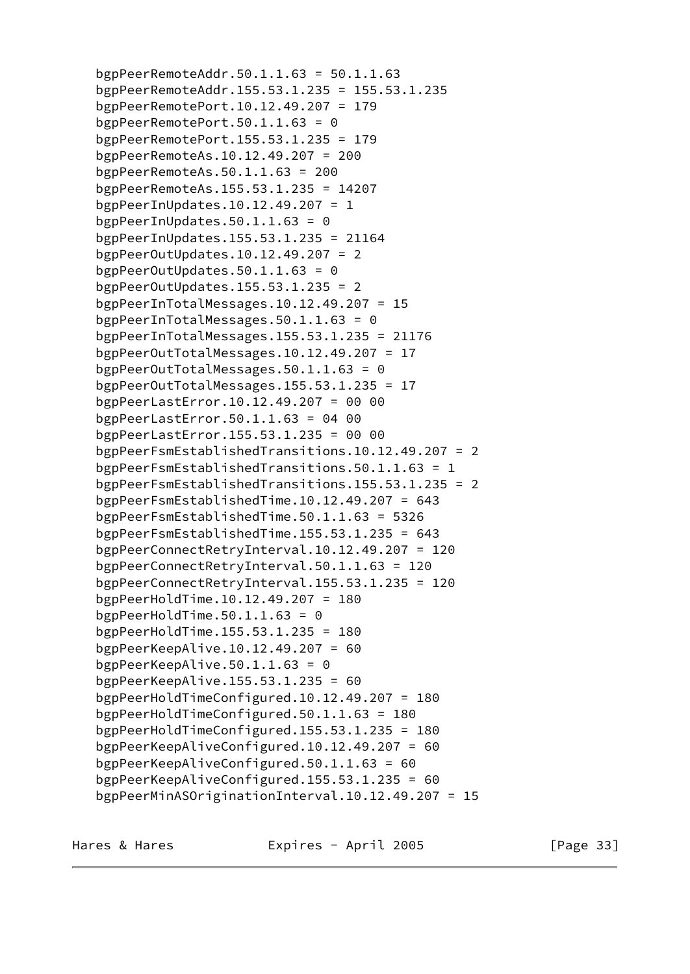bgpPeerRemoteAddr.50.1.1.63 = 50.1.1.63 bgpPeerRemoteAddr.155.53.1.235 = 155.53.1.235 bgpPeerRemotePort.10.12.49.207 = 179 bgpPeerRemotePort.50.1.1.63 =  $\theta$  bgpPeerRemotePort.155.53.1.235 = 179 bgpPeerRemoteAs.10.12.49.207 = 200 bgpPeerRemoteAs.50.1.1.63 = 200 bgpPeerRemoteAs.155.53.1.235 = 14207 bgpPeerInUpdates.10.12.49.207 = 1 bgpPeerInUpdates.50.1.1.63 =  $0$  bgpPeerInUpdates.155.53.1.235 = 21164 bgpPeerOutUpdates.10.12.49.207 = 2 bgpPeerOutUpdates.50.1.1.63 =  $\theta$  bgpPeerOutUpdates.155.53.1.235 = 2 bgpPeerInTotalMessages.10.12.49.207 = 15 bgpPeerInTotalMessages.50.1.1.63 = 0 bgpPeerInTotalMessages.155.53.1.235 = 21176 bgpPeerOutTotalMessages.10.12.49.207 = 17 bgpPeerOutTotalMessages.50.1.1.63 = 0 bgpPeerOutTotalMessages.155.53.1.235 = 17 bgpPeerLastError.10.12.49.207 = 00 00 bgpPeerLastError.50.1.1.63 = 04 00 bgpPeerLastError.155.53.1.235 = 00 00 bgpPeerFsmEstablishedTransitions.10.12.49.207 = 2 bgpPeerFsmEstablishedTransitions.50.1.1.63 = 1 bgpPeerFsmEstablishedTransitions.155.53.1.235 = 2 bgpPeerFsmEstablishedTime.10.12.49.207 = 643 bgpPeerFsmEstablishedTime.50.1.1.63 = 5326 bgpPeerFsmEstablishedTime.155.53.1.235 = 643 bgpPeerConnectRetryInterval.10.12.49.207 = 120 bgpPeerConnectRetryInterval.50.1.1.63 = 120 bgpPeerConnectRetryInterval.155.53.1.235 = 120 bgpPeerHoldTime.10.12.49.207 = 180 bgpPeerHoldTime.50.1.1.63 =  $\theta$  bgpPeerHoldTime.155.53.1.235 = 180 bgpPeerKeepAlive.10.12.49.207 = 60 bgpPeerKeepAlive.50.1.1.63 = 0 bgpPeerKeepAlive.155.53.1.235 = 60 bgpPeerHoldTimeConfigured.10.12.49.207 = 180 bgpPeerHoldTimeConfigured.50.1.1.63 = 180 bgpPeerHoldTimeConfigured.155.53.1.235 = 180 bgpPeerKeepAliveConfigured.10.12.49.207 = 60 bgpPeerKeepAliveConfigured.50.1.1.63 = 60 bgpPeerKeepAliveConfigured.155.53.1.235 = 60 bgpPeerMinASOriginationInterval.10.12.49.207 = 15

Hares & Hares **Expires - April 2005** [Page 33]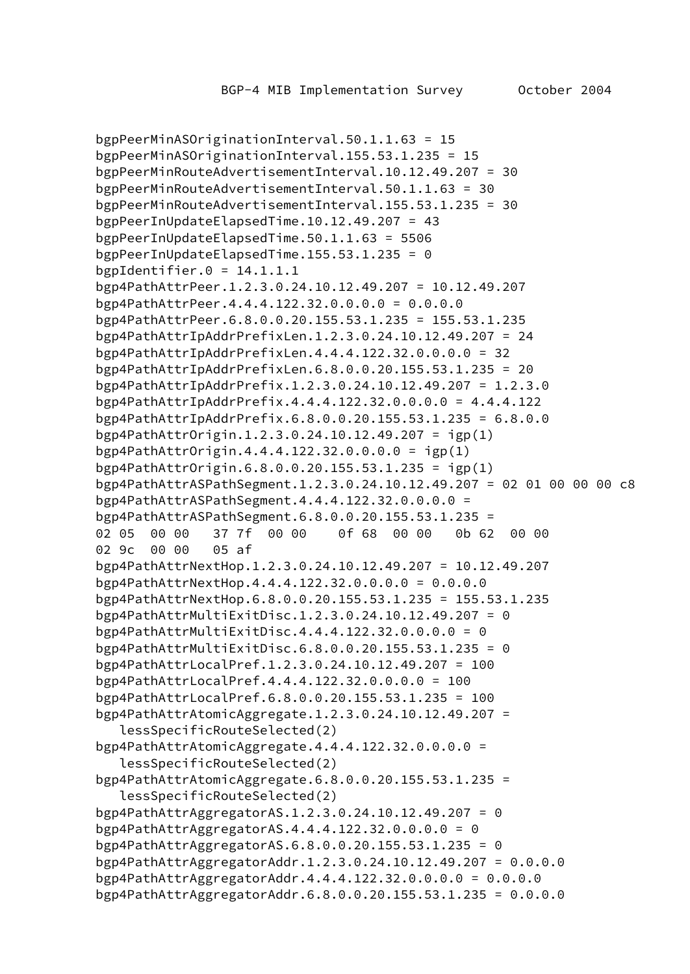```
 bgpPeerMinASOriginationInterval.50.1.1.63 = 15
 bgpPeerMinASOriginationInterval.155.53.1.235 = 15
 bgpPeerMinRouteAdvertisementInterval.10.12.49.207 = 30
 bgpPeerMinRouteAdvertisementInterval.50.1.1.63 = 30
 bgpPeerMinRouteAdvertisementInterval.155.53.1.235 = 30
 bgpPeerInUpdateElapsedTime.10.12.49.207 = 43
 bgpPeerInUpdateElapsedTime.50.1.1.63 = 5506
 bgpPeerInUpdateElapsedTime.155.53.1.235 = 0
bgpIdentifier.0 = 14.1.1.1 bgp4PathAttrPeer.1.2.3.0.24.10.12.49.207 = 10.12.49.207
 bgp4PathAttrPeer.4.4.4.122.32.0.0.0.0 = 0.0.0.0
 bgp4PathAttrPeer.6.8.0.0.20.155.53.1.235 = 155.53.1.235
 bgp4PathAttrIpAddrPrefixLen.1.2.3.0.24.10.12.49.207 = 24
 bgp4PathAttrIpAddrPrefixLen.4.4.4.122.32.0.0.0.0 = 32
 bgp4PathAttrIpAddrPrefixLen.6.8.0.0.20.155.53.1.235 = 20
 bgp4PathAttrIpAddrPrefix.1.2.3.0.24.10.12.49.207 = 1.2.3.0
 bgp4PathAttrIpAddrPrefix.4.4.4.122.32.0.0.0.0 = 4.4.4.122
 bgp4PathAttrIpAddrPrefix.6.8.0.0.20.155.53.1.235 = 6.8.0.0
 bgp4PathAttrOrigin.1.2.3.0.24.10.12.49.207 = igp(1)
 bgp4PathAttrOrigin.4.4.4.122.32.0.0.0.0 = igp(1)
 bgp4PathAttrOrigin.6.8.0.0.20.155.53.1.235 = igp(1)
 bgp4PathAttrASPathSegment.1.2.3.0.24.10.12.49.207 = 02 01 00 00 00 c8
 bgp4PathAttrASPathSegment.4.4.4.122.32.0.0.0.0 =
 bgp4PathAttrASPathSegment.6.8.0.0.20.155.53.1.235 =
 02 05 00 00 37 7f 00 00 0f 68 00 00 0b 62 00 00
 02 9c 00 00 05 af
 bgp4PathAttrNextHop.1.2.3.0.24.10.12.49.207 = 10.12.49.207
 bgp4PathAttrNextHop.4.4.4.122.32.0.0.0.0 = 0.0.0.0
 bgp4PathAttrNextHop.6.8.0.0.20.155.53.1.235 = 155.53.1.235
 bgp4PathAttrMultiExitDisc.1.2.3.0.24.10.12.49.207 = 0
 bgp4PathAttrMultiExitDisc.4.4.4.122.32.0.0.0.0 = 0
 bgp4PathAttrMultiExitDisc.6.8.0.0.20.155.53.1.235 = 0
 bgp4PathAttrLocalPref.1.2.3.0.24.10.12.49.207 = 100
 bgp4PathAttrLocalPref.4.4.4.122.32.0.0.0.0 = 100
 bgp4PathAttrLocalPref.6.8.0.0.20.155.53.1.235 = 100
 bgp4PathAttrAtomicAggregate.1.2.3.0.24.10.12.49.207 =
    lessSpecificRouteSelected(2)
 bgp4PathAttrAtomicAggregate.4.4.4.122.32.0.0.0.0 =
    lessSpecificRouteSelected(2)
 bgp4PathAttrAtomicAggregate.6.8.0.0.20.155.53.1.235 =
    lessSpecificRouteSelected(2)
 bgp4PathAttrAggregatorAS.1.2.3.0.24.10.12.49.207 = 0
 bgp4PathAttrAggregatorAS.4.4.4.122.32.0.0.0.0 = 0
 bgp4PathAttrAggregatorAS.6.8.0.0.20.155.53.1.235 = 0
 bgp4PathAttrAggregatorAddr.1.2.3.0.24.10.12.49.207 = 0.0.0.0
 bgp4PathAttrAggregatorAddr.4.4.4.122.32.0.0.0.0 = 0.0.0.0
 bgp4PathAttrAggregatorAddr.6.8.0.0.20.155.53.1.235 = 0.0.0.0
```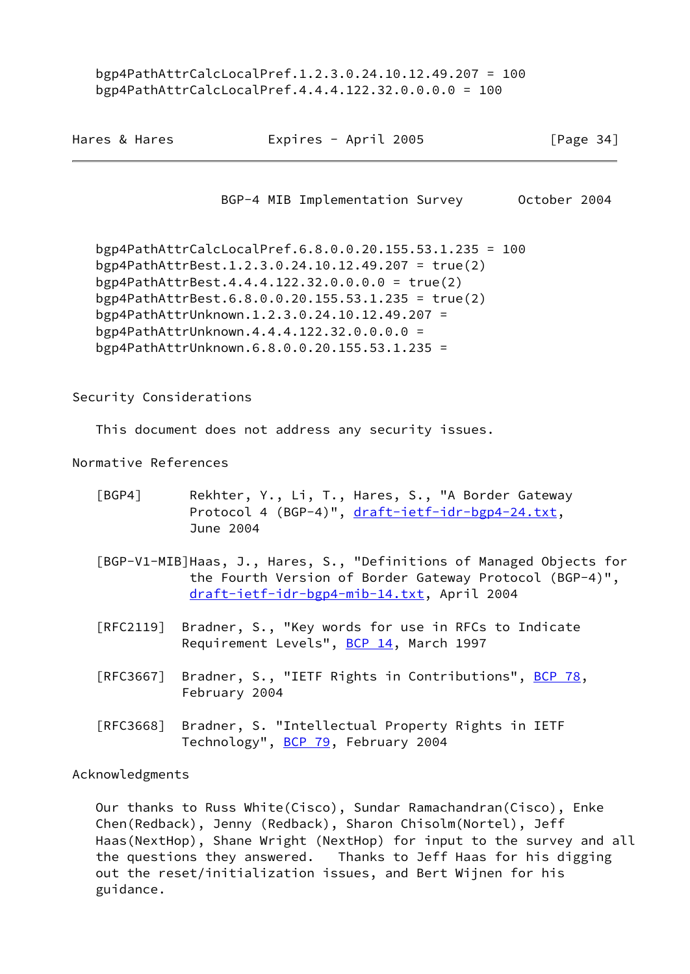bgp4PathAttrCalcLocalPref.1.2.3.0.24.10.12.49.207 = 100 bgp4PathAttrCalcLocalPref.4.4.4.122.32.0.0.0.0 = 100

<span id="page-39-1"></span>

| Hares & Hares           | Expires - April 2005                                                                                                                                                                                                                                                                                                                                                   | [Page $34$ ] |
|-------------------------|------------------------------------------------------------------------------------------------------------------------------------------------------------------------------------------------------------------------------------------------------------------------------------------------------------------------------------------------------------------------|--------------|
|                         | BGP-4 MIB Implementation Survey                                                                                                                                                                                                                                                                                                                                        | October 2004 |
|                         | bgp4PathAttrCalcLocalPref.6.8.0.0.20.155.53.1.235 = 100<br>bgp4PathAttrBest.1.2.3.0.24.10.12.49.207 = true(2)<br>bgp4PathAttrBest.4.4.4.122.32.0.0.0.0 = true(2)<br>bgp4PathAttrBest.6.8.0.0.20.155.53.1.235 = true(2)<br>bgp4PathAttrUnknown.1.2.3.0.24.10.12.49.207 =<br>bgp4PathAttrUnknown.4.4.4.122.32.0.0.0.0 =<br>bgp4PathAttrUnknown.6.8.0.0.20.155.53.1.235 = |              |
| Security Considerations |                                                                                                                                                                                                                                                                                                                                                                        |              |
|                         | This document does not address any security issues.                                                                                                                                                                                                                                                                                                                    |              |
| Normative References    |                                                                                                                                                                                                                                                                                                                                                                        |              |
| [BGP4]                  | Rekhter, Y., Li, T., Hares, S., "A Border Gateway<br>Protocol 4 (BGP-4)", draft-ietf-idr-bgp4-24.txt,<br>June 2004                                                                                                                                                                                                                                                     |              |
|                         | [BGP-V1-MIB]Haas, J., Hares, S., "Definitions of Managed Objects for<br>the Fourth Version of Border Gateway Protocol (BGP-4)",<br>draft-ietf-idr-bgp4-mib-14.txt, April 2004                                                                                                                                                                                          |              |
|                         | [RFC2119] Bradner, S., "Key words for use in RFCs to Indicate<br>Requirement Levels", BCP 14, March 1997                                                                                                                                                                                                                                                               |              |
| [REC3667]               | Bradner, S., "IETF Rights in Contributions", <u>BCP 78</u> ,<br>February 2004                                                                                                                                                                                                                                                                                          |              |
| [REC3668]               | Bradner, S. "Intellectual Property Rights in IETF<br>Technology", BCP 79, February 2004                                                                                                                                                                                                                                                                                |              |
| Acknowledgments         |                                                                                                                                                                                                                                                                                                                                                                        |              |
|                         | Our thanks to Russ White(Cisco), Sundar Ramachandran(Cisco), Enke<br>Chen(Redback), Jenny (Redback), Sharon Chisolm(Nortel), Jeff                                                                                                                                                                                                                                      |              |

<span id="page-39-0"></span> Chen(Redback), Jenny (Redback), Sharon Chisolm(Nortel), Jeff Haas(NextHop), Shane Wright (NextHop) for input to the survey and all the questions they answered. Thanks to Jeff Haas for his digging out the reset/initialization issues, and Bert Wijnen for his guidance.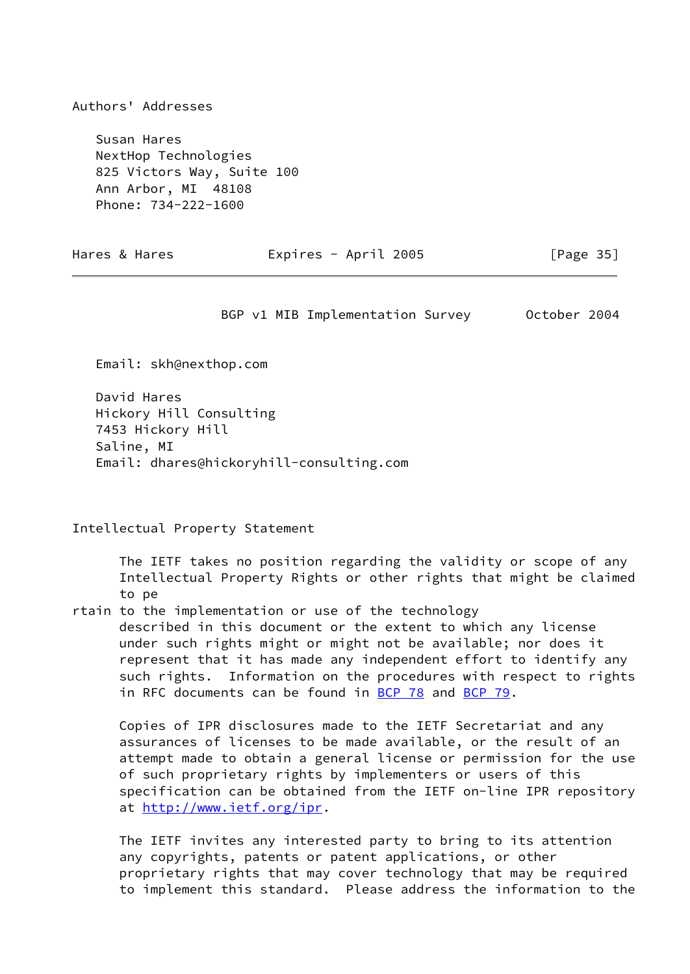Authors' Addresses

 Susan Hares NextHop Technologies 825 Victors Way, Suite 100 Ann Arbor, MI 48108 Phone: 734-222-1600

<span id="page-40-0"></span>Hares & Hares **Expires - April 2005** [Page 35]

BGP v1 MIB Implementation Survey 0ctober 2004

Email: skh@nexthop.com

 David Hares Hickory Hill Consulting 7453 Hickory Hill Saline, MI Email: dhares@hickoryhill-consulting.com

Intellectual Property Statement

 The IETF takes no position regarding the validity or scope of any Intellectual Property Rights or other rights that might be claimed to pe

rtain to the implementation or use of the technology

 described in this document or the extent to which any license under such rights might or might not be available; nor does it represent that it has made any independent effort to identify any such rights. Information on the procedures with respect to rights in RFC documents can be found in [BCP 78](https://datatracker.ietf.org/doc/pdf/bcp78) and [BCP 79](https://datatracker.ietf.org/doc/pdf/bcp79).

 Copies of IPR disclosures made to the IETF Secretariat and any assurances of licenses to be made available, or the result of an attempt made to obtain a general license or permission for the use of such proprietary rights by implementers or users of this specification can be obtained from the IETF on-line IPR repository at<http://www.ietf.org/ipr>.

 The IETF invites any interested party to bring to its attention any copyrights, patents or patent applications, or other proprietary rights that may cover technology that may be required to implement this standard. Please address the information to the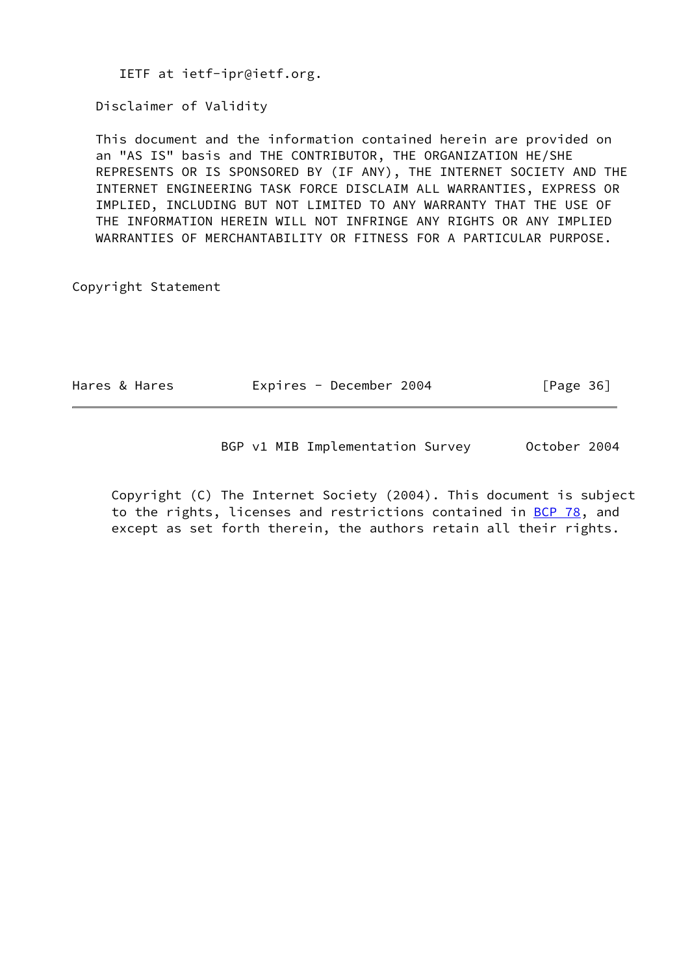IETF at ietf-ipr@ietf.org.

Disclaimer of Validity

 This document and the information contained herein are provided on an "AS IS" basis and THE CONTRIBUTOR, THE ORGANIZATION HE/SHE REPRESENTS OR IS SPONSORED BY (IF ANY), THE INTERNET SOCIETY AND THE INTERNET ENGINEERING TASK FORCE DISCLAIM ALL WARRANTIES, EXPRESS OR IMPLIED, INCLUDING BUT NOT LIMITED TO ANY WARRANTY THAT THE USE OF THE INFORMATION HEREIN WILL NOT INFRINGE ANY RIGHTS OR ANY IMPLIED WARRANTIES OF MERCHANTABILITY OR FITNESS FOR A PARTICULAR PURPOSE.

Copyright Statement

| Hares & Hares | Expires - December 2004 | [Page 36] |
|---------------|-------------------------|-----------|
|---------------|-------------------------|-----------|

BGP v1 MIB Implementation Survey 0ctober 2004

 Copyright (C) The Internet Society (2004). This document is subject to the rights, licenses and restrictions contained in [BCP 78](https://datatracker.ietf.org/doc/pdf/bcp78), and except as set forth therein, the authors retain all their rights.